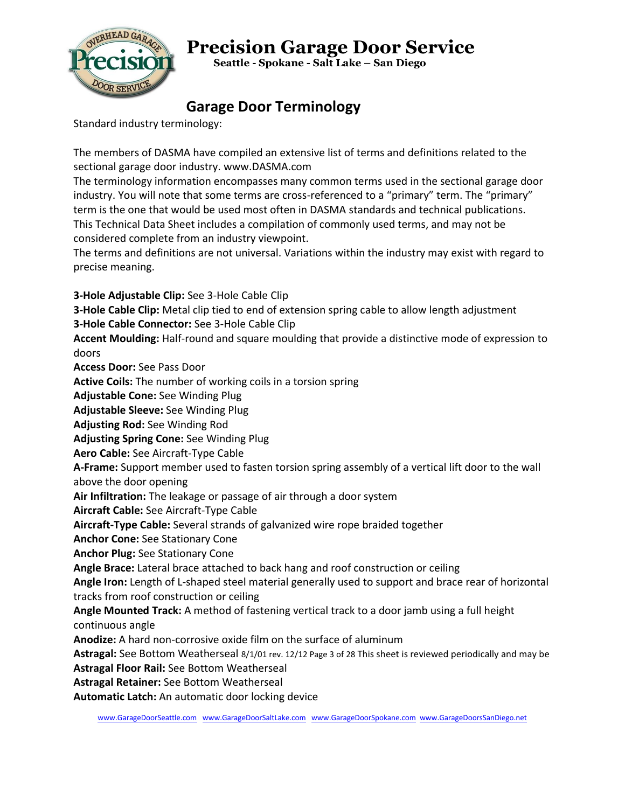

 **Seattle - Spokane - Salt Lake – San Diego**

#### **Garage Door Terminology**

Standard industry terminology:

The members of DASMA have compiled an extensive list of terms and definitions related to the sectional garage door industry. www.DASMA.com

The terminology information encompasses many common terms used in the sectional garage door industry. You will note that some terms are cross-referenced to a "primary" term. The "primary" term is the one that would be used most often in DASMA standards and technical publications. This Technical Data Sheet includes a compilation of commonly used terms, and may not be considered complete from an industry viewpoint.

The terms and definitions are not universal. Variations within the industry may exist with regard to precise meaning.

**3-Hole Adjustable Clip:** See 3-Hole Cable Clip

**3-Hole Cable Clip:** Metal clip tied to end of extension spring cable to allow length adjustment **3-Hole Cable Connector:** See 3-Hole Cable Clip

**Accent Moulding:** Half-round and square moulding that provide a distinctive mode of expression to doors

**Access Door:** See Pass Door **Active Coils:** The number of working coils in a torsion spring **Adjustable Cone:** See Winding Plug **Adjustable Sleeve:** See Winding Plug **Adjusting Rod:** See Winding Rod **Adjusting Spring Cone:** See Winding Plug **Aero Cable:** See Aircraft-Type Cable **A-Frame:** Support member used to fasten torsion spring assembly of a vertical lift door to the wall above the door opening **Air Infiltration:** The leakage or passage of air through a door system **Aircraft Cable:** See Aircraft-Type Cable **Aircraft-Type Cable:** Several strands of galvanized wire rope braided together **Anchor Cone:** See Stationary Cone **Anchor Plug:** See Stationary Cone **Angle Brace:** Lateral brace attached to back hang and roof construction or ceiling **Angle Iron:** Length of L-shaped steel material generally used to support and brace rear of horizontal tracks from roof construction or ceiling **Angle Mounted Track:** A method of fastening vertical track to a door jamb using a full height continuous angle **Anodize:** A hard non-corrosive oxide film on the surface of aluminum **Astragal:** See Bottom Weatherseal 8/1/01 rev. 12/12 Page 3 of 28 This sheet is reviewed periodically and may be **Astragal Floor Rail:** See Bottom Weatherseal **Astragal Retainer:** See Bottom Weatherseal **Automatic Latch:** An automatic door locking device

[www.GarageDoorSeattle.com](http://www.garagedoorseattle.com/) [www.GarageDoorSaltLake.com](http://www.garagedoorsaltlake.com/) [www.GarageDoorSpokane.com](http://www.garagedoorspokane.com/) [www.GarageDoorsSanDiego.net](http://www.garagedoorssandiego.net/)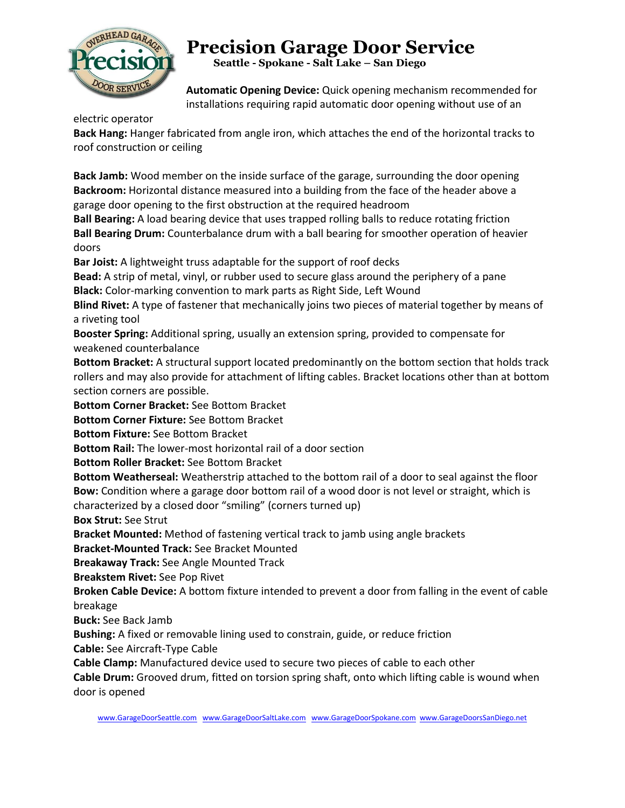

 **Seattle - Spokane - Salt Lake – San Diego**

**Automatic Opening Device:** Quick opening mechanism recommended for installations requiring rapid automatic door opening without use of an

electric operator

**Back Hang:** Hanger fabricated from angle iron, which attaches the end of the horizontal tracks to roof construction or ceiling

**Back Jamb:** Wood member on the inside surface of the garage, surrounding the door opening **Backroom:** Horizontal distance measured into a building from the face of the header above a garage door opening to the first obstruction at the required headroom

**Ball Bearing:** A load bearing device that uses trapped rolling balls to reduce rotating friction **Ball Bearing Drum:** Counterbalance drum with a ball bearing for smoother operation of heavier doors

**Bar Joist:** A lightweight truss adaptable for the support of roof decks

**Bead:** A strip of metal, vinyl, or rubber used to secure glass around the periphery of a pane **Black:** Color-marking convention to mark parts as Right Side, Left Wound

**Blind Rivet:** A type of fastener that mechanically joins two pieces of material together by means of a riveting tool

**Booster Spring:** Additional spring, usually an extension spring, provided to compensate for weakened counterbalance

**Bottom Bracket:** A structural support located predominantly on the bottom section that holds track rollers and may also provide for attachment of lifting cables. Bracket locations other than at bottom section corners are possible.

**Bottom Corner Bracket:** See Bottom Bracket

**Bottom Corner Fixture:** See Bottom Bracket

**Bottom Fixture:** See Bottom Bracket

**Bottom Rail:** The lower-most horizontal rail of a door section

**Bottom Roller Bracket:** See Bottom Bracket

**Bottom Weatherseal:** Weatherstrip attached to the bottom rail of a door to seal against the floor **Bow:** Condition where a garage door bottom rail of a wood door is not level or straight, which is characterized by a closed door "smiling" (corners turned up)

**Box Strut:** See Strut

**Bracket Mounted:** Method of fastening vertical track to jamb using angle brackets

**Bracket-Mounted Track:** See Bracket Mounted

**Breakaway Track:** See Angle Mounted Track

**Breakstem Rivet:** See Pop Rivet

**Broken Cable Device:** A bottom fixture intended to prevent a door from falling in the event of cable breakage

**Buck:** See Back Jamb

**Bushing:** A fixed or removable lining used to constrain, guide, or reduce friction

**Cable:** See Aircraft-Type Cable

**Cable Clamp:** Manufactured device used to secure two pieces of cable to each other

**Cable Drum:** Grooved drum, fitted on torsion spring shaft, onto which lifting cable is wound when door is opened

[www.GarageDoorSeattle.com](http://www.garagedoorseattle.com/) [www.GarageDoorSaltLake.com](http://www.garagedoorsaltlake.com/) [www.GarageDoorSpokane.com](http://www.garagedoorspokane.com/) [www.GarageDoorsSanDiego.net](http://www.garagedoorssandiego.net/)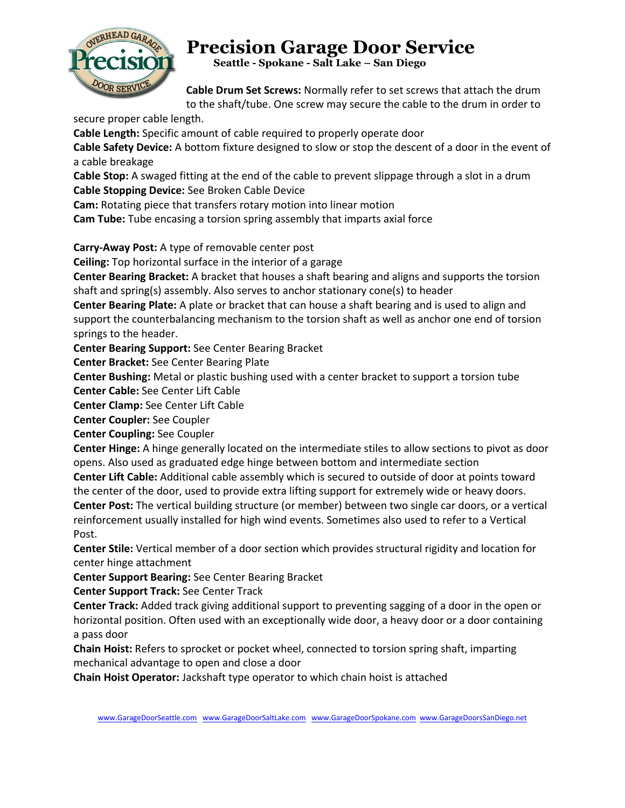

 **Seattle - Spokane - Salt Lake – San Diego**

**Cable Drum Set Screws:** Normally refer to set screws that attach the drum to the shaft/tube. One screw may secure the cable to the drum in order to

secure proper cable length.

**Cable Length:** Specific amount of cable required to properly operate door

**Cable Safety Device:** A bottom fixture designed to slow or stop the descent of a door in the event of a cable breakage

**Cable Stop:** A swaged fitting at the end of the cable to prevent slippage through a slot in a drum **Cable Stopping Device:** See Broken Cable Device

**Cam:** Rotating piece that transfers rotary motion into linear motion

**Cam Tube:** Tube encasing a torsion spring assembly that imparts axial force

**Carry-Away Post:** A type of removable center post

**Ceiling:** Top horizontal surface in the interior of a garage

**Center Bearing Bracket:** A bracket that houses a shaft bearing and aligns and supports the torsion shaft and spring(s) assembly. Also serves to anchor stationary cone(s) to header

**Center Bearing Plate:** A plate or bracket that can house a shaft bearing and is used to align and support the counterbalancing mechanism to the torsion shaft as well as anchor one end of torsion springs to the header.

**Center Bearing Support:** See Center Bearing Bracket

**Center Bracket:** See Center Bearing Plate

**Center Bushing:** Metal or plastic bushing used with a center bracket to support a torsion tube

**Center Cable:** See Center Lift Cable

**Center Clamp:** See Center Lift Cable

**Center Coupler:** See Coupler

**Center Coupling:** See Coupler

**Center Hinge:** A hinge generally located on the intermediate stiles to allow sections to pivot as door opens. Also used as graduated edge hinge between bottom and intermediate section

**Center Lift Cable:** Additional cable assembly which is secured to outside of door at points toward the center of the door, used to provide extra lifting support for extremely wide or heavy doors.

**Center Post:** The vertical building structure (or member) between two single car doors, or a vertical reinforcement usually installed for high wind events. Sometimes also used to refer to a Vertical Post.

**Center Stile:** Vertical member of a door section which provides structural rigidity and location for center hinge attachment

**Center Support Bearing:** See Center Bearing Bracket

**Center Support Track:** See Center Track

**Center Track:** Added track giving additional support to preventing sagging of a door in the open or horizontal position. Often used with an exceptionally wide door, a heavy door or a door containing a pass door

**Chain Hoist:** Refers to sprocket or pocket wheel, connected to torsion spring shaft, imparting mechanical advantage to open and close a door

**Chain Hoist Operator:** Jackshaft type operator to which chain hoist is attached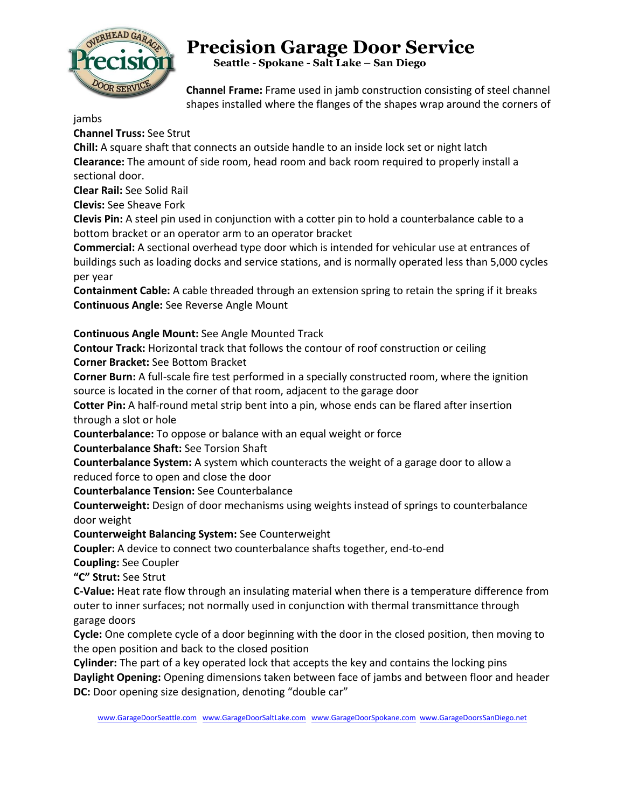

 **Seattle - Spokane - Salt Lake – San Diego**

**Channel Frame:** Frame used in jamb construction consisting of steel channel shapes installed where the flanges of the shapes wrap around the corners of

jambs

**Channel Truss:** See Strut

**Chill:** A square shaft that connects an outside handle to an inside lock set or night latch **Clearance:** The amount of side room, head room and back room required to properly install a sectional door.

**Clear Rail:** See Solid Rail

**Clevis:** See Sheave Fork

**Clevis Pin:** A steel pin used in conjunction with a cotter pin to hold a counterbalance cable to a bottom bracket or an operator arm to an operator bracket

**Commercial:** A sectional overhead type door which is intended for vehicular use at entrances of buildings such as loading docks and service stations, and is normally operated less than 5,000 cycles per year

**Containment Cable:** A cable threaded through an extension spring to retain the spring if it breaks **Continuous Angle:** See Reverse Angle Mount

#### **Continuous Angle Mount:** See Angle Mounted Track

**Contour Track:** Horizontal track that follows the contour of roof construction or ceiling **Corner Bracket:** See Bottom Bracket

**Corner Burn:** A full-scale fire test performed in a specially constructed room, where the ignition source is located in the corner of that room, adjacent to the garage door

**Cotter Pin:** A half-round metal strip bent into a pin, whose ends can be flared after insertion through a slot or hole

**Counterbalance:** To oppose or balance with an equal weight or force

**Counterbalance Shaft:** See Torsion Shaft

**Counterbalance System:** A system which counteracts the weight of a garage door to allow a reduced force to open and close the door

**Counterbalance Tension:** See Counterbalance

**Counterweight:** Design of door mechanisms using weights instead of springs to counterbalance door weight

**Counterweight Balancing System:** See Counterweight

**Coupler:** A device to connect two counterbalance shafts together, end-to-end

**Coupling:** See Coupler

**"C" Strut:** See Strut

**C-Value:** Heat rate flow through an insulating material when there is a temperature difference from outer to inner surfaces; not normally used in conjunction with thermal transmittance through garage doors

**Cycle:** One complete cycle of a door beginning with the door in the closed position, then moving to the open position and back to the closed position

**Cylinder:** The part of a key operated lock that accepts the key and contains the locking pins

**Daylight Opening:** Opening dimensions taken between face of jambs and between floor and header **DC:** Door opening size designation, denoting "double car"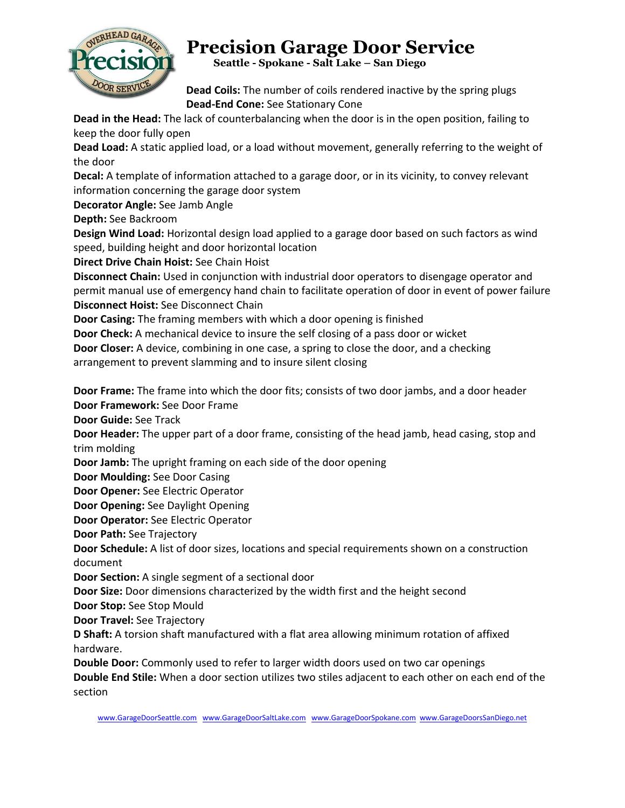

 **Seattle - Spokane - Salt Lake – San Diego**

**Dead Coils:** The number of coils rendered inactive by the spring plugs **Dead-End Cone:** See Stationary Cone

**Dead in the Head:** The lack of counterbalancing when the door is in the open position, failing to keep the door fully open

**Dead Load:** A static applied load, or a load without movement, generally referring to the weight of the door

**Decal:** A template of information attached to a garage door, or in its vicinity, to convey relevant information concerning the garage door system

**Decorator Angle:** See Jamb Angle

**Depth:** See Backroom

**Design Wind Load:** Horizontal design load applied to a garage door based on such factors as wind speed, building height and door horizontal location

**Direct Drive Chain Hoist:** See Chain Hoist

**Disconnect Chain:** Used in conjunction with industrial door operators to disengage operator and permit manual use of emergency hand chain to facilitate operation of door in event of power failure **Disconnect Hoist:** See Disconnect Chain

**Door Casing:** The framing members with which a door opening is finished

**Door Check:** A mechanical device to insure the self closing of a pass door or wicket

**Door Closer:** A device, combining in one case, a spring to close the door, and a checking arrangement to prevent slamming and to insure silent closing

**Door Frame:** The frame into which the door fits; consists of two door jambs, and a door header **Door Framework:** See Door Frame

**Door Guide:** See Track

**Door Header:** The upper part of a door frame, consisting of the head jamb, head casing, stop and trim molding

**Door Jamb:** The upright framing on each side of the door opening

**Door Moulding:** See Door Casing

**Door Opener:** See Electric Operator

**Door Opening:** See Daylight Opening

**Door Operator:** See Electric Operator

**Door Path:** See Trajectory

**Door Schedule:** A list of door sizes, locations and special requirements shown on a construction document

**Door Section:** A single segment of a sectional door

**Door Size:** Door dimensions characterized by the width first and the height second

**Door Stop:** See Stop Mould

**Door Travel:** See Trajectory

**D Shaft:** A torsion shaft manufactured with a flat area allowing minimum rotation of affixed hardware.

**Double Door:** Commonly used to refer to larger width doors used on two car openings

**Double End Stile:** When a door section utilizes two stiles adjacent to each other on each end of the section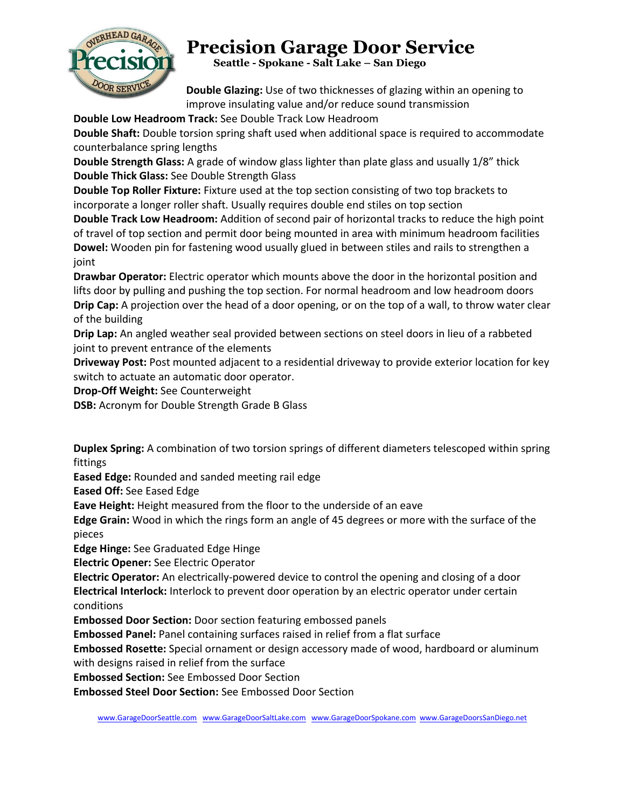

 **Seattle - Spokane - Salt Lake – San Diego**

**Double Glazing:** Use of two thicknesses of glazing within an opening to improve insulating value and/or reduce sound transmission

**Double Low Headroom Track:** See Double Track Low Headroom

**Double Shaft:** Double torsion spring shaft used when additional space is required to accommodate counterbalance spring lengths

**Double Strength Glass:** A grade of window glass lighter than plate glass and usually 1/8" thick **Double Thick Glass:** See Double Strength Glass

**Double Top Roller Fixture:** Fixture used at the top section consisting of two top brackets to incorporate a longer roller shaft. Usually requires double end stiles on top section

**Double Track Low Headroom:** Addition of second pair of horizontal tracks to reduce the high point of travel of top section and permit door being mounted in area with minimum headroom facilities **Dowel:** Wooden pin for fastening wood usually glued in between stiles and rails to strengthen a joint

**Drawbar Operator:** Electric operator which mounts above the door in the horizontal position and lifts door by pulling and pushing the top section. For normal headroom and low headroom doors **Drip Cap:** A projection over the head of a door opening, or on the top of a wall, to throw water clear of the building

**Drip Lap:** An angled weather seal provided between sections on steel doors in lieu of a rabbeted joint to prevent entrance of the elements

**Driveway Post:** Post mounted adjacent to a residential driveway to provide exterior location for key switch to actuate an automatic door operator.

**Drop-Off Weight:** See Counterweight

**DSB:** Acronym for Double Strength Grade B Glass

**Duplex Spring:** A combination of two torsion springs of different diameters telescoped within spring fittings

**Eased Edge:** Rounded and sanded meeting rail edge

**Eased Off:** See Eased Edge

**Eave Height:** Height measured from the floor to the underside of an eave

**Edge Grain:** Wood in which the rings form an angle of 45 degrees or more with the surface of the pieces

**Edge Hinge:** See Graduated Edge Hinge

**Electric Opener:** See Electric Operator

**Electric Operator:** An electrically-powered device to control the opening and closing of a door **Electrical Interlock:** Interlock to prevent door operation by an electric operator under certain conditions

**Embossed Door Section:** Door section featuring embossed panels

**Embossed Panel:** Panel containing surfaces raised in relief from a flat surface

**Embossed Rosette:** Special ornament or design accessory made of wood, hardboard or aluminum with designs raised in relief from the surface

**Embossed Section:** See Embossed Door Section

**Embossed Steel Door Section:** See Embossed Door Section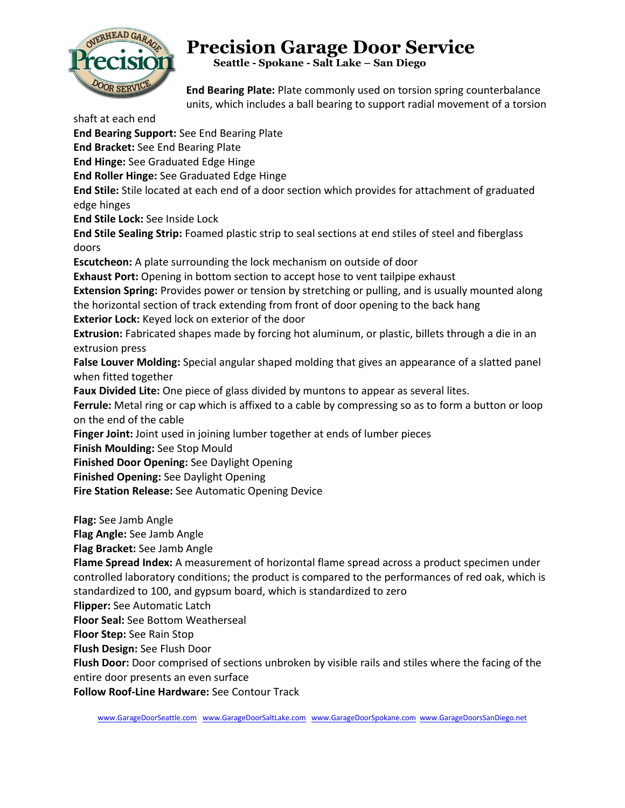

 **Seattle - Spokane - Salt Lake – San Diego**

**End Bearing Plate:** Plate commonly used on torsion spring counterbalance units, which includes a ball bearing to support radial movement of a torsion

shaft at each end

**End Bearing Support:** See End Bearing Plate **End Bracket:** See End Bearing Plate **End Hinge:** See Graduated Edge Hinge **End Roller Hinge:** See Graduated Edge Hinge **End Stile:** Stile located at each end of a door section which provides for attachment of graduated edge hinges **End Stile Lock:** See Inside Lock **End Stile Sealing Strip:** Foamed plastic strip to seal sections at end stiles of steel and fiberglass doors **Escutcheon:** A plate surrounding the lock mechanism on outside of door **Exhaust Port:** Opening in bottom section to accept hose to vent tailpipe exhaust **Extension Spring:** Provides power or tension by stretching or pulling, and is usually mounted along the horizontal section of track extending from front of door opening to the back hang **Exterior Lock:** Keyed lock on exterior of the door **Extrusion:** Fabricated shapes made by forcing hot aluminum, or plastic, billets through a die in an extrusion press **False Louver Molding:** Special angular shaped molding that gives an appearance of a slatted panel when fitted together **Faux Divided Lite:** One piece of glass divided by muntons to appear as several lites. **Ferrule:** Metal ring or cap which is affixed to a cable by compressing so as to form a button or loop on the end of the cable **Finger Joint:** Joint used in joining lumber together at ends of lumber pieces **Finish Moulding:** See Stop Mould **Finished Door Opening:** See Daylight Opening **Finished Opening:** See Daylight Opening **Fire Station Release:** See Automatic Opening Device **Flag:** See Jamb Angle **Flag Angle:** See Jamb Angle

**Flag Bracket:** See Jamb Angle

**Flame Spread Index:** A measurement of horizontal flame spread across a product specimen under controlled laboratory conditions; the product is compared to the performances of red oak, which is standardized to 100, and gypsum board, which is standardized to zero

**Flipper:** See Automatic Latch

**Floor Seal:** See Bottom Weatherseal

**Floor Step:** See Rain Stop

**Flush Design:** See Flush Door

**Flush Door:** Door comprised of sections unbroken by visible rails and stiles where the facing of the entire door presents an even surface

**Follow Roof-Line Hardware:** See Contour Track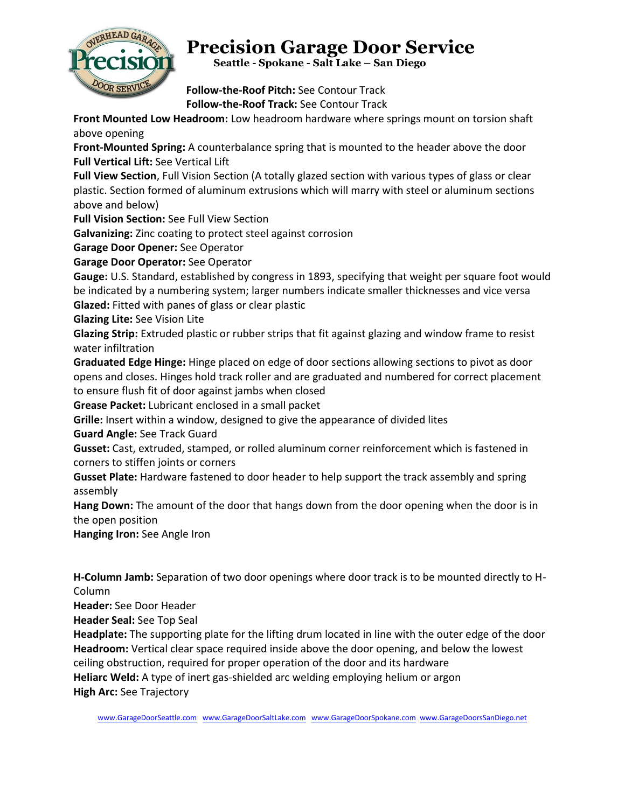

 **Seattle - Spokane - Salt Lake – San Diego**

**Follow-the-Roof Pitch:** See Contour Track **Follow-the-Roof Track:** See Contour Track

**Front Mounted Low Headroom:** Low headroom hardware where springs mount on torsion shaft above opening

**Front-Mounted Spring:** A counterbalance spring that is mounted to the header above the door **Full Vertical Lift:** See Vertical Lift

**Full View Section**, Full Vision Section (A totally glazed section with various types of glass or clear plastic. Section formed of aluminum extrusions which will marry with steel or aluminum sections above and below)

**Full Vision Section:** See Full View Section

**Galvanizing:** Zinc coating to protect steel against corrosion

**Garage Door Opener:** See Operator

**Garage Door Operator:** See Operator

**Gauge:** U.S. Standard, established by congress in 1893, specifying that weight per square foot would be indicated by a numbering system; larger numbers indicate smaller thicknesses and vice versa **Glazed:** Fitted with panes of glass or clear plastic

**Glazing Lite:** See Vision Lite

**Glazing Strip:** Extruded plastic or rubber strips that fit against glazing and window frame to resist water infiltration

**Graduated Edge Hinge:** Hinge placed on edge of door sections allowing sections to pivot as door opens and closes. Hinges hold track roller and are graduated and numbered for correct placement to ensure flush fit of door against jambs when closed

**Grease Packet:** Lubricant enclosed in a small packet

**Grille:** Insert within a window, designed to give the appearance of divided lites

**Guard Angle:** See Track Guard

**Gusset:** Cast, extruded, stamped, or rolled aluminum corner reinforcement which is fastened in corners to stiffen joints or corners

**Gusset Plate:** Hardware fastened to door header to help support the track assembly and spring assembly

**Hang Down:** The amount of the door that hangs down from the door opening when the door is in the open position

**Hanging Iron:** See Angle Iron

**H-Column Jamb:** Separation of two door openings where door track is to be mounted directly to H-Column

**Header:** See Door Header

**Header Seal:** See Top Seal

**Headplate:** The supporting plate for the lifting drum located in line with the outer edge of the door **Headroom:** Vertical clear space required inside above the door opening, and below the lowest ceiling obstruction, required for proper operation of the door and its hardware **Heliarc Weld:** A type of inert gas-shielded arc welding employing helium or argon **High Arc:** See Trajectory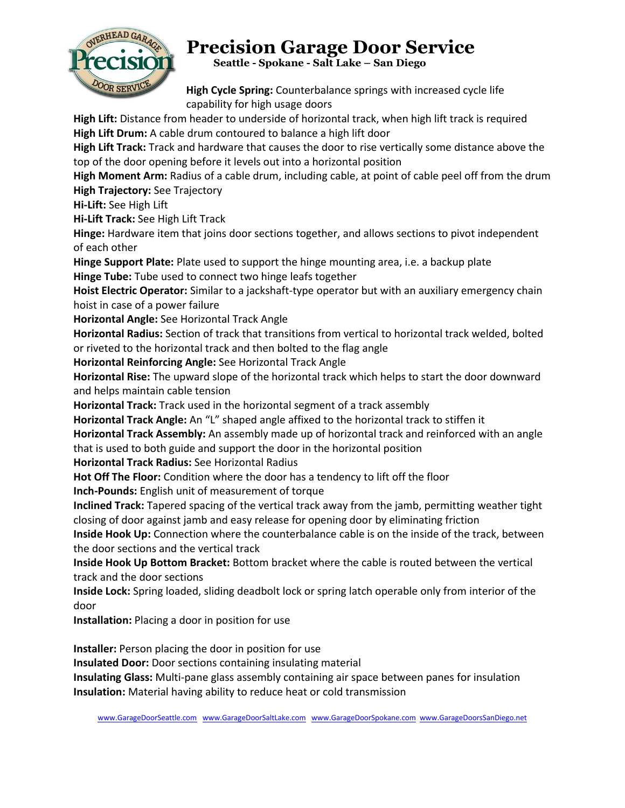

 **Seattle - Spokane - Salt Lake – San Diego**

**High Cycle Spring:** Counterbalance springs with increased cycle life capability for high usage doors

**High Lift:** Distance from header to underside of horizontal track, when high lift track is required **High Lift Drum:** A cable drum contoured to balance a high lift door

**High Lift Track:** Track and hardware that causes the door to rise vertically some distance above the top of the door opening before it levels out into a horizontal position

**High Moment Arm:** Radius of a cable drum, including cable, at point of cable peel off from the drum **High Trajectory:** See Trajectory

**Hi-Lift:** See High Lift

**Hi-Lift Track:** See High Lift Track

**Hinge:** Hardware item that joins door sections together, and allows sections to pivot independent of each other

**Hinge Support Plate:** Plate used to support the hinge mounting area, i.e. a backup plate **Hinge Tube:** Tube used to connect two hinge leafs together

**Hoist Electric Operator:** Similar to a jackshaft-type operator but with an auxiliary emergency chain hoist in case of a power failure

**Horizontal Angle:** See Horizontal Track Angle

**Horizontal Radius:** Section of track that transitions from vertical to horizontal track welded, bolted or riveted to the horizontal track and then bolted to the flag angle

**Horizontal Reinforcing Angle:** See Horizontal Track Angle

**Horizontal Rise:** The upward slope of the horizontal track which helps to start the door downward and helps maintain cable tension

**Horizontal Track:** Track used in the horizontal segment of a track assembly

**Horizontal Track Angle:** An "L" shaped angle affixed to the horizontal track to stiffen it

**Horizontal Track Assembly:** An assembly made up of horizontal track and reinforced with an angle that is used to both guide and support the door in the horizontal position

**Horizontal Track Radius:** See Horizontal Radius

**Hot Off The Floor:** Condition where the door has a tendency to lift off the floor

**Inch-Pounds:** English unit of measurement of torque

**Inclined Track:** Tapered spacing of the vertical track away from the jamb, permitting weather tight closing of door against jamb and easy release for opening door by eliminating friction

**Inside Hook Up:** Connection where the counterbalance cable is on the inside of the track, between the door sections and the vertical track

**Inside Hook Up Bottom Bracket:** Bottom bracket where the cable is routed between the vertical track and the door sections

**Inside Lock:** Spring loaded, sliding deadbolt lock or spring latch operable only from interior of the door

**Installation:** Placing a door in position for use

**Installer:** Person placing the door in position for use

**Insulated Door:** Door sections containing insulating material

**Insulating Glass:** Multi-pane glass assembly containing air space between panes for insulation **Insulation:** Material having ability to reduce heat or cold transmission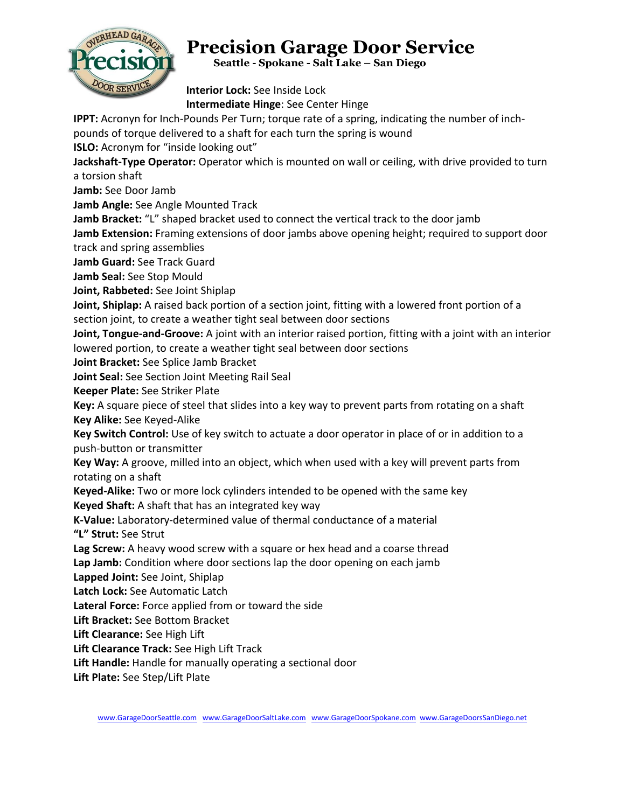

 **Seattle - Spokane - Salt Lake – San Diego**

**Interior Lock:** See Inside Lock **Intermediate Hinge**: See Center Hinge

**IPPT:** Acronyn for Inch-Pounds Per Turn; torque rate of a spring, indicating the number of inch-

pounds of torque delivered to a shaft for each turn the spring is wound

**ISLO:** Acronym for "inside looking out"

**Jackshaft-Type Operator:** Operator which is mounted on wall or ceiling, with drive provided to turn a torsion shaft

**Jamb:** See Door Jamb

**Jamb Angle:** See Angle Mounted Track

**Jamb Bracket:** "L" shaped bracket used to connect the vertical track to the door jamb

**Jamb Extension:** Framing extensions of door jambs above opening height; required to support door

track and spring assemblies

**Jamb Guard:** See Track Guard

**Jamb Seal:** See Stop Mould

**Joint, Rabbeted:** See Joint Shiplap

**Joint, Shiplap:** A raised back portion of a section joint, fitting with a lowered front portion of a section joint, to create a weather tight seal between door sections

**Joint, Tongue-and-Groove:** A joint with an interior raised portion, fitting with a joint with an interior lowered portion, to create a weather tight seal between door sections

**Joint Bracket:** See Splice Jamb Bracket

**Joint Seal:** See Section Joint Meeting Rail Seal

**Keeper Plate:** See Striker Plate

**Key:** A square piece of steel that slides into a key way to prevent parts from rotating on a shaft **Key Alike:** See Keyed-Alike

**Key Switch Control:** Use of key switch to actuate a door operator in place of or in addition to a push-button or transmitter

**Key Way:** A groove, milled into an object, which when used with a key will prevent parts from rotating on a shaft

**Keyed-Alike:** Two or more lock cylinders intended to be opened with the same key

**Keyed Shaft:** A shaft that has an integrated key way

**K-Value:** Laboratory-determined value of thermal conductance of a material **"L" Strut:** See Strut

**Lag Screw:** A heavy wood screw with a square or hex head and a coarse thread

**Lap Jamb:** Condition where door sections lap the door opening on each jamb

**Lapped Joint:** See Joint, Shiplap

**Latch Lock:** See Automatic Latch

**Lateral Force:** Force applied from or toward the side

**Lift Bracket:** See Bottom Bracket

**Lift Clearance:** See High Lift

**Lift Clearance Track:** See High Lift Track

**Lift Handle:** Handle for manually operating a sectional door

**Lift Plate:** See Step/Lift Plate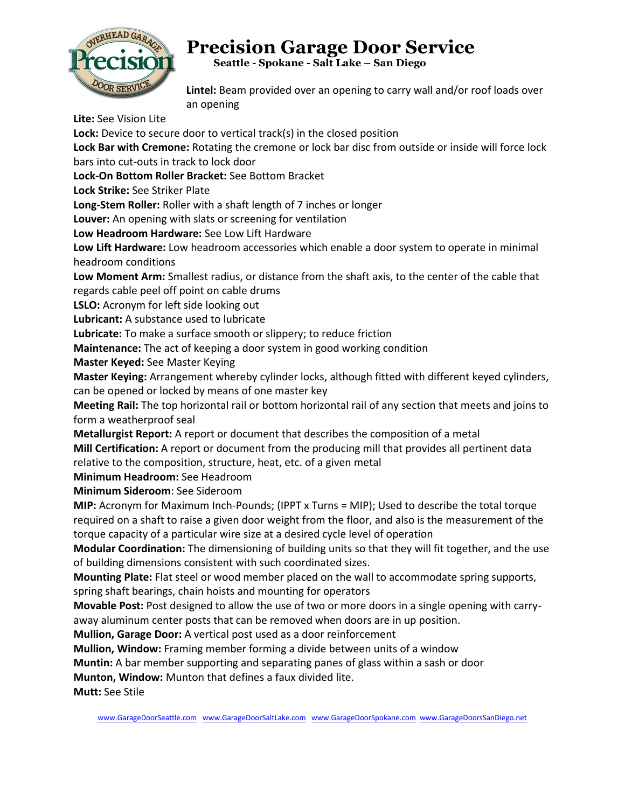

 **Seattle - Spokane - Salt Lake – San Diego**

**Lintel:** Beam provided over an opening to carry wall and/or roof loads over an opening

**Lite:** See Vision Lite

Lock: Device to secure door to vertical track(s) in the closed position

**Lock Bar with Cremone:** Rotating the cremone or lock bar disc from outside or inside will force lock bars into cut-outs in track to lock door

**Lock-On Bottom Roller Bracket:** See Bottom Bracket

**Lock Strike:** See Striker Plate

**Long-Stem Roller:** Roller with a shaft length of 7 inches or longer

**Louver:** An opening with slats or screening for ventilation

**Low Headroom Hardware:** See Low Lift Hardware

**Low Lift Hardware:** Low headroom accessories which enable a door system to operate in minimal headroom conditions

**Low Moment Arm:** Smallest radius, or distance from the shaft axis, to the center of the cable that regards cable peel off point on cable drums

**LSLO:** Acronym for left side looking out

**Lubricant:** A substance used to lubricate

**Lubricate:** To make a surface smooth or slippery; to reduce friction

**Maintenance:** The act of keeping a door system in good working condition

**Master Keyed:** See Master Keying

**Master Keying:** Arrangement whereby cylinder locks, although fitted with different keyed cylinders, can be opened or locked by means of one master key

**Meeting Rail:** The top horizontal rail or bottom horizontal rail of any section that meets and joins to form a weatherproof seal

**Metallurgist Report:** A report or document that describes the composition of a metal

**Mill Certification:** A report or document from the producing mill that provides all pertinent data relative to the composition, structure, heat, etc. of a given metal

**Minimum Headroom:** See Headroom

**Minimum Sideroom**: See Sideroom

**MIP:** Acronym for Maximum Inch-Pounds; (IPPT x Turns = MIP); Used to describe the total torque required on a shaft to raise a given door weight from the floor, and also is the measurement of the torque capacity of a particular wire size at a desired cycle level of operation

**Modular Coordination:** The dimensioning of building units so that they will fit together, and the use of building dimensions consistent with such coordinated sizes.

**Mounting Plate:** Flat steel or wood member placed on the wall to accommodate spring supports, spring shaft bearings, chain hoists and mounting for operators

**Movable Post:** Post designed to allow the use of two or more doors in a single opening with carryaway aluminum center posts that can be removed when doors are in up position.

**Mullion, Garage Door:** A vertical post used as a door reinforcement

**Mullion, Window:** Framing member forming a divide between units of a window

**Muntin:** A bar member supporting and separating panes of glass within a sash or door

**Munton, Window:** Munton that defines a faux divided lite.

**Mutt:** See Stile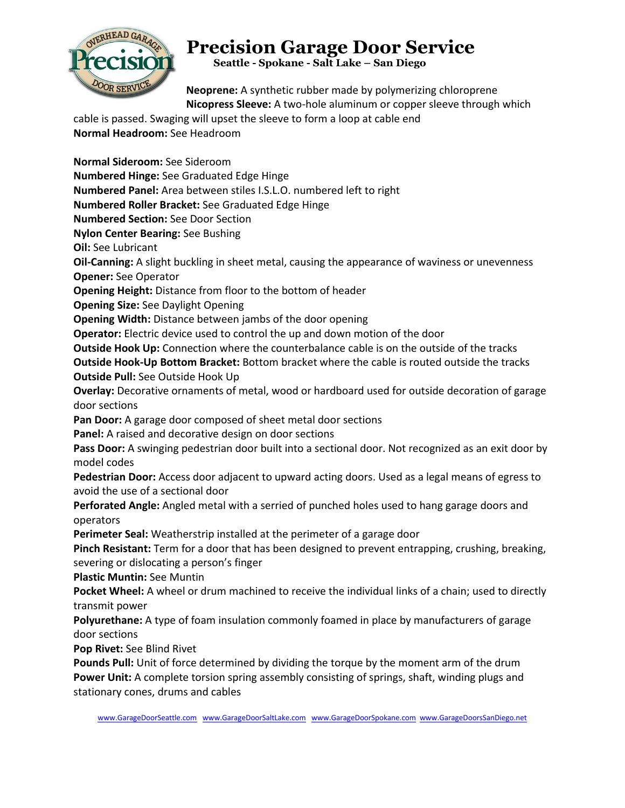

 **Seattle - Spokane - Salt Lake – San Diego**

**Neoprene:** A synthetic rubber made by polymerizing chloroprene **Nicopress Sleeve:** A two-hole aluminum or copper sleeve through which

cable is passed. Swaging will upset the sleeve to form a loop at cable end **Normal Headroom:** See Headroom

**Normal Sideroom:** See Sideroom **Numbered Hinge:** See Graduated Edge Hinge **Numbered Panel:** Area between stiles I.S.L.O. numbered left to right **Numbered Roller Bracket:** See Graduated Edge Hinge **Numbered Section:** See Door Section **Nylon Center Bearing:** See Bushing **Oil:** See Lubricant **Oil-Canning:** A slight buckling in sheet metal, causing the appearance of waviness or unevenness **Opener:** See Operator **Opening Height:** Distance from floor to the bottom of header **Opening Size:** See Daylight Opening **Opening Width:** Distance between jambs of the door opening **Operator:** Electric device used to control the up and down motion of the door **Outside Hook Up:** Connection where the counterbalance cable is on the outside of the tracks **Outside Hook-Up Bottom Bracket:** Bottom bracket where the cable is routed outside the tracks **Outside Pull:** See Outside Hook Up **Overlay:** Decorative ornaments of metal, wood or hardboard used for outside decoration of garage door sections **Pan Door:** A garage door composed of sheet metal door sections **Panel:** A raised and decorative design on door sections Pass Door: A swinging pedestrian door built into a sectional door. Not recognized as an exit door by model codes **Pedestrian Door:** Access door adjacent to upward acting doors. Used as a legal means of egress to avoid the use of a sectional door **Perforated Angle:** Angled metal with a serried of punched holes used to hang garage doors and operators **Perimeter Seal:** Weatherstrip installed at the perimeter of a garage door **Pinch Resistant:** Term for a door that has been designed to prevent entrapping, crushing, breaking, severing or dislocating a person's finger **Plastic Muntin:** See Muntin **Pocket Wheel:** A wheel or drum machined to receive the individual links of a chain; used to directly transmit power **Polyurethane:** A type of foam insulation commonly foamed in place by manufacturers of garage door sections **Pop Rivet:** See Blind Rivet **Pounds Pull:** Unit of force determined by dividing the torque by the moment arm of the drum **Power Unit:** A complete torsion spring assembly consisting of springs, shaft, winding plugs and stationary cones, drums and cables

[www.GarageDoorSeattle.com](http://www.garagedoorseattle.com/) [www.GarageDoorSaltLake.com](http://www.garagedoorsaltlake.com/) [www.GarageDoorSpokane.com](http://www.garagedoorspokane.com/) [www.GarageDoorsSanDiego.net](http://www.garagedoorssandiego.net/)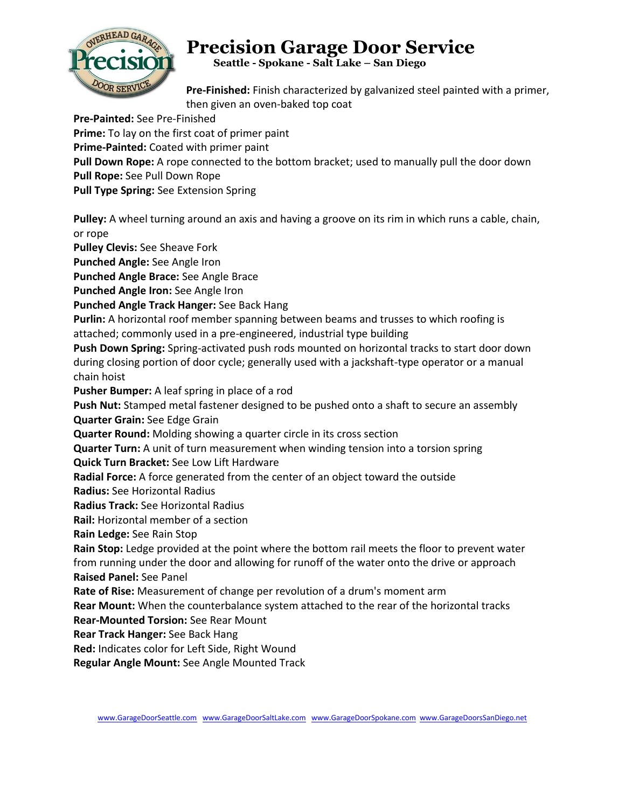

 **Seattle - Spokane - Salt Lake – San Diego**

**Pre-Finished:** Finish characterized by galvanized steel painted with a primer, then given an oven-baked top coat

**Pre-Painted:** See Pre-Finished

**Prime:** To lay on the first coat of primer paint

**Prime-Painted:** Coated with primer paint

**Pull Down Rope:** A rope connected to the bottom bracket; used to manually pull the door down

**Pull Rope:** See Pull Down Rope

**Pull Type Spring:** See Extension Spring

**Pulley:** A wheel turning around an axis and having a groove on its rim in which runs a cable, chain, or rope

**Pulley Clevis:** See Sheave Fork

**Punched Angle:** See Angle Iron

**Punched Angle Brace:** See Angle Brace

**Punched Angle Iron:** See Angle Iron

**Punched Angle Track Hanger:** See Back Hang

**Purlin:** A horizontal roof member spanning between beams and trusses to which roofing is attached; commonly used in a pre-engineered, industrial type building

**Push Down Spring:** Spring-activated push rods mounted on horizontal tracks to start door down during closing portion of door cycle; generally used with a jackshaft-type operator or a manual chain hoist

**Pusher Bumper:** A leaf spring in place of a rod

**Push Nut:** Stamped metal fastener designed to be pushed onto a shaft to secure an assembly **Quarter Grain:** See Edge Grain

**Quarter Round:** Molding showing a quarter circle in its cross section

**Quarter Turn:** A unit of turn measurement when winding tension into a torsion spring

**Quick Turn Bracket:** See Low Lift Hardware

**Radial Force:** A force generated from the center of an object toward the outside

**Radius:** See Horizontal Radius

**Radius Track:** See Horizontal Radius

**Rail:** Horizontal member of a section

**Rain Ledge:** See Rain Stop

**Rain Stop:** Ledge provided at the point where the bottom rail meets the floor to prevent water from running under the door and allowing for runoff of the water onto the drive or approach **Raised Panel:** See Panel

**Rate of Rise:** Measurement of change per revolution of a drum's moment arm

**Rear Mount:** When the counterbalance system attached to the rear of the horizontal tracks

**Rear-Mounted Torsion:** See Rear Mount

**Rear Track Hanger:** See Back Hang

**Red:** Indicates color for Left Side, Right Wound

**Regular Angle Mount:** See Angle Mounted Track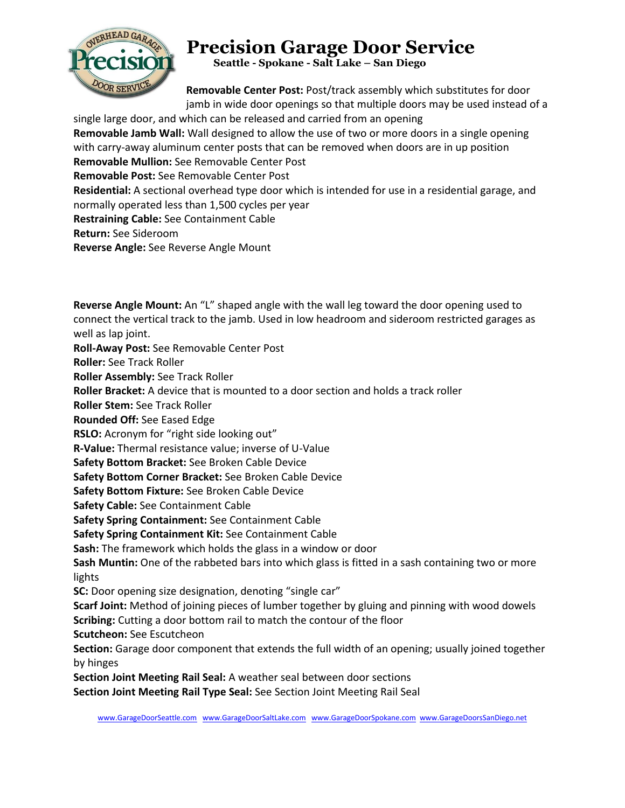

 **Seattle - Spokane - Salt Lake – San Diego**

**Removable Center Post:** Post/track assembly which substitutes for door jamb in wide door openings so that multiple doors may be used instead of a

single large door, and which can be released and carried from an opening **Removable Jamb Wall:** Wall designed to allow the use of two or more doors in a single opening with carry-away aluminum center posts that can be removed when doors are in up position **Removable Mullion:** See Removable Center Post **Removable Post:** See Removable Center Post **Residential:** A sectional overhead type door which is intended for use in a residential garage, and normally operated less than 1,500 cycles per year **Restraining Cable:** See Containment Cable **Return:** See Sideroom **Reverse Angle:** See Reverse Angle Mount

**Reverse Angle Mount:** An "L" shaped angle with the wall leg toward the door opening used to connect the vertical track to the jamb. Used in low headroom and sideroom restricted garages as well as lap joint. **Roll-Away Post:** See Removable Center Post **Roller:** See Track Roller **Roller Assembly:** See Track Roller **Roller Bracket:** A device that is mounted to a door section and holds a track roller **Roller Stem:** See Track Roller **Rounded Off:** See Eased Edge **RSLO:** Acronym for "right side looking out" **R-Value:** Thermal resistance value; inverse of U-Value **Safety Bottom Bracket:** See Broken Cable Device **Safety Bottom Corner Bracket:** See Broken Cable Device **Safety Bottom Fixture:** See Broken Cable Device **Safety Cable:** See Containment Cable **Safety Spring Containment:** See Containment Cable **Safety Spring Containment Kit:** See Containment Cable **Sash:** The framework which holds the glass in a window or door **Sash Muntin:** One of the rabbeted bars into which glass is fitted in a sash containing two or more lights **SC:** Door opening size designation, denoting "single car" **Scarf Joint:** Method of joining pieces of lumber together by gluing and pinning with wood dowels **Scribing:** Cutting a door bottom rail to match the contour of the floor **Scutcheon:** See Escutcheon **Section:** Garage door component that extends the full width of an opening; usually joined together by hinges **Section Joint Meeting Rail Seal:** A weather seal between door sections **Section Joint Meeting Rail Type Seal:** See Section Joint Meeting Rail Seal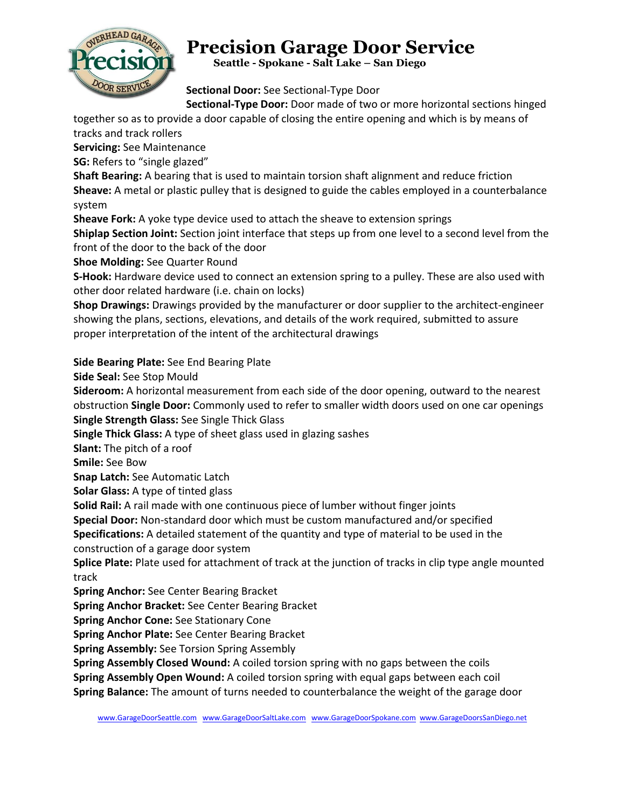

 **Seattle - Spokane - Salt Lake – San Diego**

**Sectional Door:** See Sectional-Type Door

**Sectional-Type Door:** Door made of two or more horizontal sections hinged

together so as to provide a door capable of closing the entire opening and which is by means of tracks and track rollers

**Servicing:** See Maintenance

**SG:** Refers to "single glazed"

**Shaft Bearing:** A bearing that is used to maintain torsion shaft alignment and reduce friction **Sheave:** A metal or plastic pulley that is designed to guide the cables employed in a counterbalance system

**Sheave Fork:** A yoke type device used to attach the sheave to extension springs

**Shiplap Section Joint:** Section joint interface that steps up from one level to a second level from the front of the door to the back of the door

**Shoe Molding:** See Quarter Round

**S-Hook:** Hardware device used to connect an extension spring to a pulley. These are also used with other door related hardware (i.e. chain on locks)

**Shop Drawings:** Drawings provided by the manufacturer or door supplier to the architect-engineer showing the plans, sections, elevations, and details of the work required, submitted to assure proper interpretation of the intent of the architectural drawings

#### **Side Bearing Plate:** See End Bearing Plate

**Side Seal:** See Stop Mould

**Sideroom:** A horizontal measurement from each side of the door opening, outward to the nearest obstruction **Single Door:** Commonly used to refer to smaller width doors used on one car openings **Single Strength Glass:** See Single Thick Glass

**Single Thick Glass:** A type of sheet glass used in glazing sashes

**Slant:** The pitch of a roof

**Smile:** See Bow

**Snap Latch:** See Automatic Latch

**Solar Glass:** A type of tinted glass

**Solid Rail:** A rail made with one continuous piece of lumber without finger joints

**Special Door:** Non-standard door which must be custom manufactured and/or specified

**Specifications:** A detailed statement of the quantity and type of material to be used in the

construction of a garage door system

**Splice Plate:** Plate used for attachment of track at the junction of tracks in clip type angle mounted track

**Spring Anchor:** See Center Bearing Bracket

**Spring Anchor Bracket:** See Center Bearing Bracket

**Spring Anchor Cone:** See Stationary Cone

**Spring Anchor Plate:** See Center Bearing Bracket

**Spring Assembly:** See Torsion Spring Assembly

**Spring Assembly Closed Wound:** A coiled torsion spring with no gaps between the coils

**Spring Assembly Open Wound:** A coiled torsion spring with equal gaps between each coil

**Spring Balance:** The amount of turns needed to counterbalance the weight of the garage door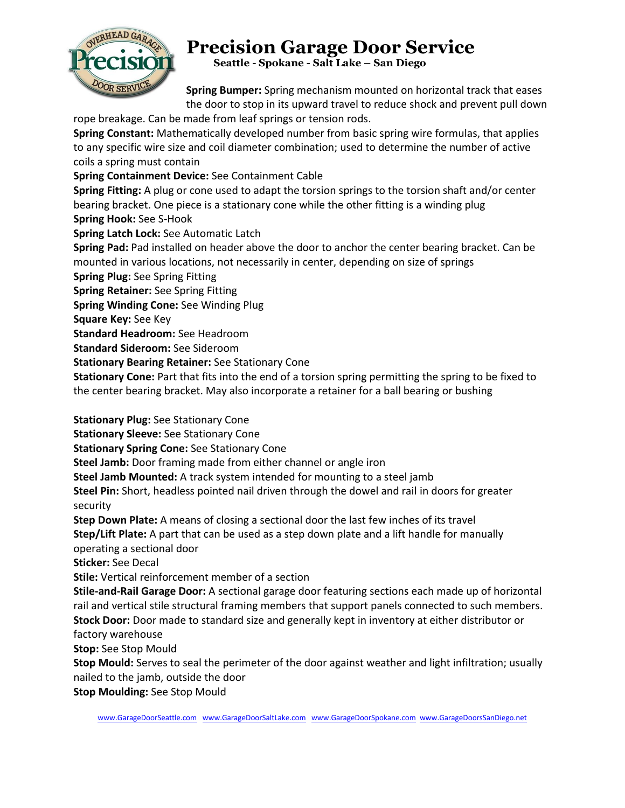

 **Seattle - Spokane - Salt Lake – San Diego**

**Spring Bumper:** Spring mechanism mounted on horizontal track that eases the door to stop in its upward travel to reduce shock and prevent pull down rope breakage. Can be made from leaf springs or tension rods.

**Spring Constant:** Mathematically developed number from basic spring wire formulas, that applies to any specific wire size and coil diameter combination; used to determine the number of active coils a spring must contain

**Spring Containment Device:** See Containment Cable

**Spring Fitting:** A plug or cone used to adapt the torsion springs to the torsion shaft and/or center bearing bracket. One piece is a stationary cone while the other fitting is a winding plug **Spring Hook:** See S-Hook

**Spring Latch Lock:** See Automatic Latch

**Spring Pad:** Pad installed on header above the door to anchor the center bearing bracket. Can be mounted in various locations, not necessarily in center, depending on size of springs

**Spring Plug:** See Spring Fitting

**Spring Retainer:** See Spring Fitting

**Spring Winding Cone:** See Winding Plug

**Square Key:** See Key

**Standard Headroom:** See Headroom

**Standard Sideroom:** See Sideroom

**Stationary Bearing Retainer:** See Stationary Cone

**Stationary Cone:** Part that fits into the end of a torsion spring permitting the spring to be fixed to the center bearing bracket. May also incorporate a retainer for a ball bearing or bushing

**Stationary Plug:** See Stationary Cone

**Stationary Sleeve:** See Stationary Cone

**Stationary Spring Cone:** See Stationary Cone

**Steel Jamb:** Door framing made from either channel or angle iron

**Steel Jamb Mounted:** A track system intended for mounting to a steel jamb

**Steel Pin:** Short, headless pointed nail driven through the dowel and rail in doors for greater security

**Step Down Plate:** A means of closing a sectional door the last few inches of its travel

**Step/Lift Plate:** A part that can be used as a step down plate and a lift handle for manually operating a sectional door

**Sticker:** See Decal

**Stile:** Vertical reinforcement member of a section

**Stile-and-Rail Garage Door:** A sectional garage door featuring sections each made up of horizontal rail and vertical stile structural framing members that support panels connected to such members. **Stock Door:** Door made to standard size and generally kept in inventory at either distributor or factory warehouse

**Stop:** See Stop Mould

**Stop Mould:** Serves to seal the perimeter of the door against weather and light infiltration; usually nailed to the jamb, outside the door

**Stop Moulding:** See Stop Mould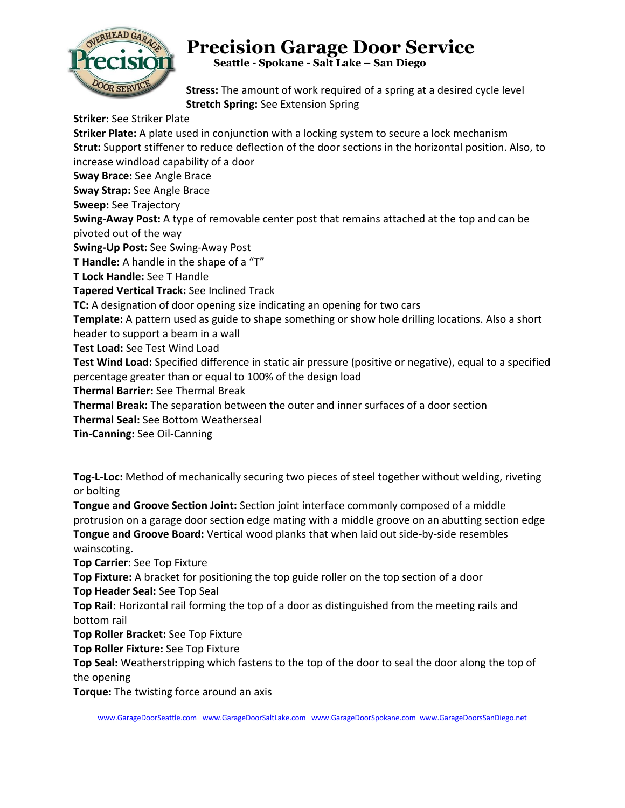

 **Seattle - Spokane - Salt Lake – San Diego**

**Stress:** The amount of work required of a spring at a desired cycle level **Stretch Spring:** See Extension Spring

**Striker:** See Striker Plate **Striker Plate:** A plate used in conjunction with a locking system to secure a lock mechanism **Strut:** Support stiffener to reduce deflection of the door sections in the horizontal position. Also, to increase windload capability of a door **Sway Brace:** See Angle Brace **Sway Strap:** See Angle Brace **Sweep:** See Trajectory **Swing-Away Post:** A type of removable center post that remains attached at the top and can be pivoted out of the way **Swing-Up Post:** See Swing-Away Post **T Handle:** A handle in the shape of a "T" **T Lock Handle:** See T Handle **Tapered Vertical Track:** See Inclined Track **TC:** A designation of door opening size indicating an opening for two cars **Template:** A pattern used as guide to shape something or show hole drilling locations. Also a short header to support a beam in a wall **Test Load:** See Test Wind Load **Test Wind Load:** Specified difference in static air pressure (positive or negative), equal to a specified percentage greater than or equal to 100% of the design load **Thermal Barrier:** See Thermal Break **Thermal Break:** The separation between the outer and inner surfaces of a door section **Thermal Seal:** See Bottom Weatherseal **Tin-Canning:** See Oil-Canning

**Tog-L-Loc:** Method of mechanically securing two pieces of steel together without welding, riveting or bolting

**Tongue and Groove Section Joint:** Section joint interface commonly composed of a middle protrusion on a garage door section edge mating with a middle groove on an abutting section edge **Tongue and Groove Board:** Vertical wood planks that when laid out side-by-side resembles wainscoting.

**Top Carrier:** See Top Fixture

**Top Fixture:** A bracket for positioning the top guide roller on the top section of a door

**Top Header Seal:** See Top Seal

**Top Rail:** Horizontal rail forming the top of a door as distinguished from the meeting rails and bottom rail

**Top Roller Bracket:** See Top Fixture

**Top Roller Fixture:** See Top Fixture

**Top Seal:** Weatherstripping which fastens to the top of the door to seal the door along the top of the opening

**Torque:** The twisting force around an axis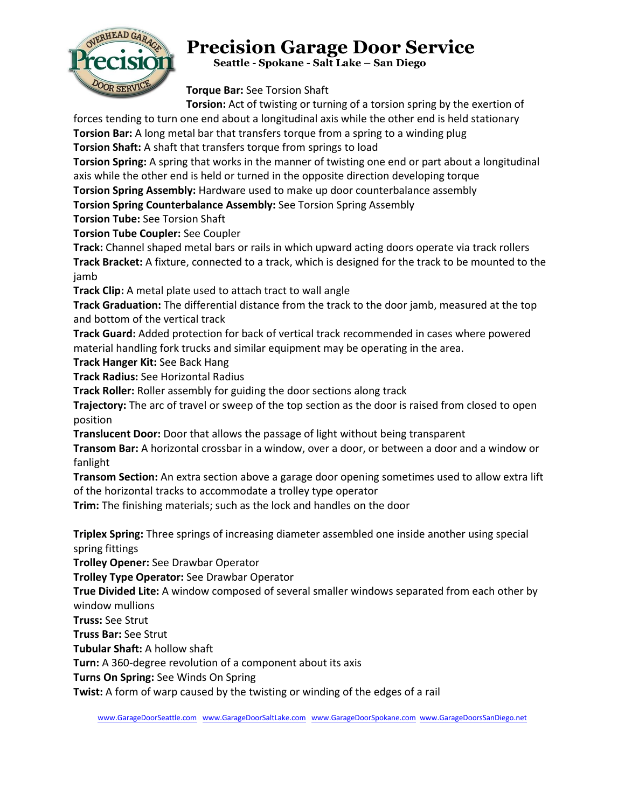

 **Seattle - Spokane - Salt Lake – San Diego**

**Torque Bar:** See Torsion Shaft

**Torsion:** Act of twisting or turning of a torsion spring by the exertion of

forces tending to turn one end about a longitudinal axis while the other end is held stationary **Torsion Bar:** A long metal bar that transfers torque from a spring to a winding plug

**Torsion Shaft:** A shaft that transfers torque from springs to load

**Torsion Spring:** A spring that works in the manner of twisting one end or part about a longitudinal axis while the other end is held or turned in the opposite direction developing torque

**Torsion Spring Assembly:** Hardware used to make up door counterbalance assembly

**Torsion Spring Counterbalance Assembly:** See Torsion Spring Assembly

**Torsion Tube:** See Torsion Shaft

**Torsion Tube Coupler:** See Coupler

**Track:** Channel shaped metal bars or rails in which upward acting doors operate via track rollers **Track Bracket:** A fixture, connected to a track, which is designed for the track to be mounted to the jamb

**Track Clip:** A metal plate used to attach tract to wall angle

**Track Graduation:** The differential distance from the track to the door jamb, measured at the top and bottom of the vertical track

**Track Guard:** Added protection for back of vertical track recommended in cases where powered material handling fork trucks and similar equipment may be operating in the area.

**Track Hanger Kit:** See Back Hang

**Track Radius:** See Horizontal Radius

**Track Roller:** Roller assembly for guiding the door sections along track

**Trajectory:** The arc of travel or sweep of the top section as the door is raised from closed to open position

**Translucent Door:** Door that allows the passage of light without being transparent

**Transom Bar:** A horizontal crossbar in a window, over a door, or between a door and a window or fanlight

**Transom Section:** An extra section above a garage door opening sometimes used to allow extra lift of the horizontal tracks to accommodate a trolley type operator

**Trim:** The finishing materials; such as the lock and handles on the door

**Triplex Spring:** Three springs of increasing diameter assembled one inside another using special spring fittings

**Trolley Opener:** See Drawbar Operator

**Trolley Type Operator:** See Drawbar Operator

**True Divided Lite:** A window composed of several smaller windows separated from each other by window mullions

**Truss:** See Strut

**Truss Bar:** See Strut

**Tubular Shaft:** A hollow shaft

**Turn:** A 360-degree revolution of a component about its axis

**Turns On Spring:** See Winds On Spring

**Twist:** A form of warp caused by the twisting or winding of the edges of a rail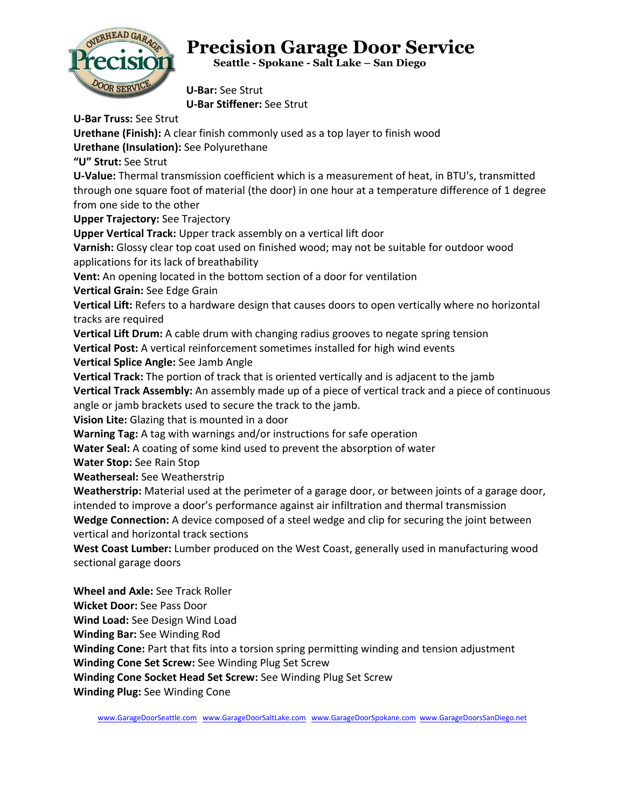

 **Seattle - Spokane - Salt Lake – San Diego**

**U-Bar:** See Strut **U-Bar Stiffener:** See Strut

**U-Bar Truss:** See Strut

**Urethane (Finish):** A clear finish commonly used as a top layer to finish wood

**Urethane (Insulation):** See Polyurethane

**"U" Strut:** See Strut

**U-Value:** Thermal transmission coefficient which is a measurement of heat, in BTU's, transmitted through one square foot of material (the door) in one hour at a temperature difference of 1 degree from one side to the other

**Upper Trajectory:** See Trajectory

**Upper Vertical Track:** Upper track assembly on a vertical lift door

**Varnish:** Glossy clear top coat used on finished wood; may not be suitable for outdoor wood applications for its lack of breathability

**Vent:** An opening located in the bottom section of a door for ventilation

**Vertical Grain:** See Edge Grain

**Vertical Lift:** Refers to a hardware design that causes doors to open vertically where no horizontal tracks are required

**Vertical Lift Drum:** A cable drum with changing radius grooves to negate spring tension

**Vertical Post:** A vertical reinforcement sometimes installed for high wind events

**Vertical Splice Angle:** See Jamb Angle

**Vertical Track:** The portion of track that is oriented vertically and is adjacent to the jamb

**Vertical Track Assembly:** An assembly made up of a piece of vertical track and a piece of continuous angle or jamb brackets used to secure the track to the jamb.

**Vision Lite:** Glazing that is mounted in a door

**Warning Tag:** A tag with warnings and/or instructions for safe operation

**Water Seal:** A coating of some kind used to prevent the absorption of water

**Water Stop:** See Rain Stop

**Weatherseal:** See Weatherstrip

**Weatherstrip:** Material used at the perimeter of a garage door, or between joints of a garage door, intended to improve a door's performance against air infiltration and thermal transmission **Wedge Connection:** A device composed of a steel wedge and clip for securing the joint between

vertical and horizontal track sections

**West Coast Lumber:** Lumber produced on the West Coast, generally used in manufacturing wood sectional garage doors

**Wheel and Axle:** See Track Roller

**Wicket Door:** See Pass Door

**Wind Load:** See Design Wind Load

**Winding Bar:** See Winding Rod

**Winding Cone:** Part that fits into a torsion spring permitting winding and tension adjustment

**Winding Cone Set Screw:** See Winding Plug Set Screw

**Winding Cone Socket Head Set Screw:** See Winding Plug Set Screw

**Winding Plug:** See Winding Cone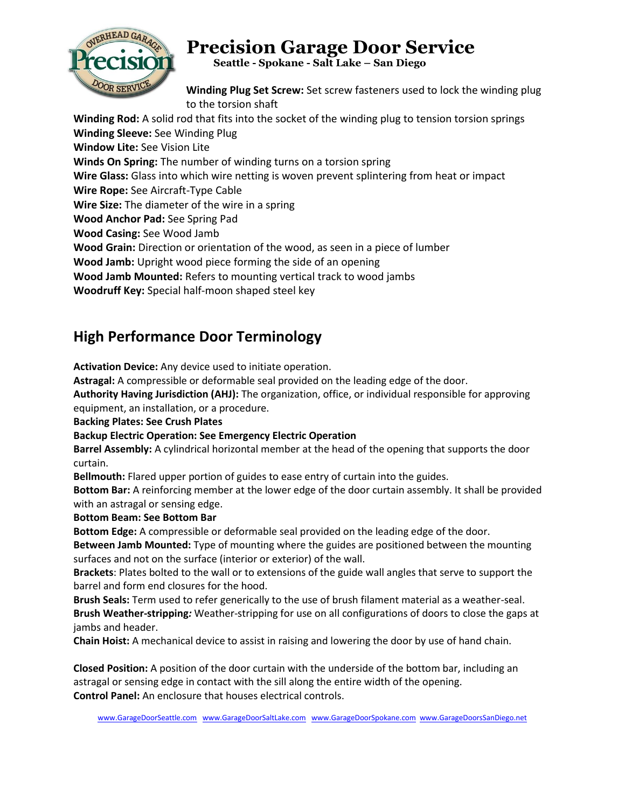

 **Seattle - Spokane - Salt Lake – San Diego**

**Winding Plug Set Screw:** Set screw fasteners used to lock the winding plug to the torsion shaft

**Winding Rod:** A solid rod that fits into the socket of the winding plug to tension torsion springs **Winding Sleeve:** See Winding Plug **Window Lite:** See Vision Lite **Winds On Spring:** The number of winding turns on a torsion spring **Wire Glass:** Glass into which wire netting is woven prevent splintering from heat or impact **Wire Rope:** See Aircraft-Type Cable **Wire Size:** The diameter of the wire in a spring **Wood Anchor Pad:** See Spring Pad **Wood Casing:** See Wood Jamb **Wood Grain:** Direction or orientation of the wood, as seen in a piece of lumber **Wood Jamb:** Upright wood piece forming the side of an opening **Wood Jamb Mounted:** Refers to mounting vertical track to wood jambs **Woodruff Key:** Special half-moon shaped steel key

#### **High Performance Door Terminology**

**Activation Device:** Any device used to initiate operation.

**Astragal:** A compressible or deformable seal provided on the leading edge of the door.

**Authority Having Jurisdiction (AHJ):** The organization, office, or individual responsible for approving equipment, an installation, or a procedure.

**Backing Plates: See Crush Plates** 

#### **Backup Electric Operation: See Emergency Electric Operation**

**Barrel Assembly:** A cylindrical horizontal member at the head of the opening that supports the door curtain.

**Bellmouth:** Flared upper portion of guides to ease entry of curtain into the guides.

**Bottom Bar:** A reinforcing member at the lower edge of the door curtain assembly. It shall be provided with an astragal or sensing edge.

**Bottom Beam: See Bottom Bar** 

**Bottom Edge:** A compressible or deformable seal provided on the leading edge of the door.

**Between Jamb Mounted:** Type of mounting where the guides are positioned between the mounting surfaces and not on the surface (interior or exterior) of the wall.

**Brackets**: Plates bolted to the wall or to extensions of the guide wall angles that serve to support the barrel and form end closures for the hood.

**Brush Seals:** Term used to refer generically to the use of brush filament material as a weather-seal. **Brush Weather-stripping***:* Weather-stripping for use on all configurations of doors to close the gaps at jambs and header.

**Chain Hoist:** A mechanical device to assist in raising and lowering the door by use of hand chain.

**Closed Position:** A position of the door curtain with the underside of the bottom bar, including an astragal or sensing edge in contact with the sill along the entire width of the opening. **Control Panel:** An enclosure that houses electrical controls.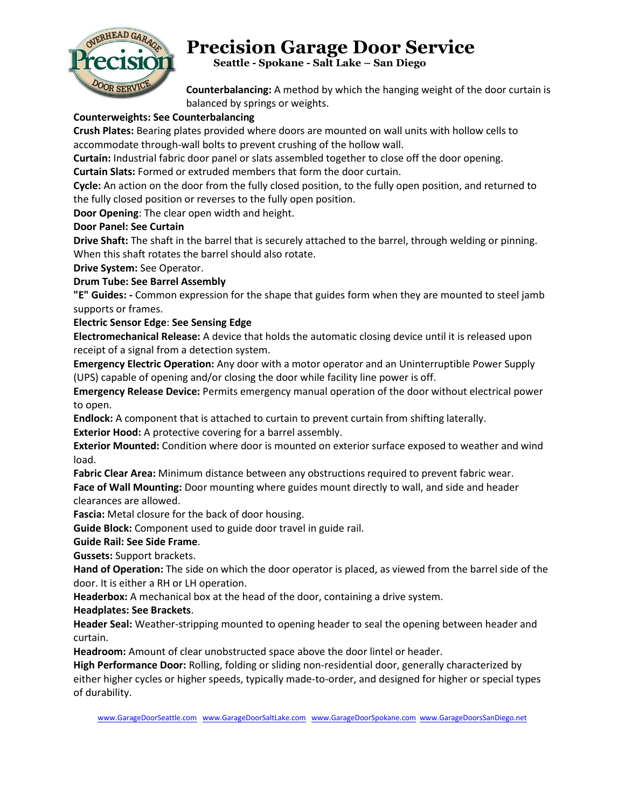

 **Seattle - Spokane - Salt Lake – San Diego**

**Counterbalancing:** A method by which the hanging weight of the door curtain is balanced by springs or weights.

#### **Counterweights: See Counterbalancing**

**Crush Plates:** Bearing plates provided where doors are mounted on wall units with hollow cells to accommodate through-wall bolts to prevent crushing of the hollow wall.

**Curtain:** Industrial fabric door panel or slats assembled together to close off the door opening.

**Curtain Slats:** Formed or extruded members that form the door curtain.

**Cycle:** An action on the door from the fully closed position, to the fully open position, and returned to the fully closed position or reverses to the fully open position.

**Door Opening**: The clear open width and height.

#### **Door Panel: See Curtain**

**Drive Shaft:** The shaft in the barrel that is securely attached to the barrel, through welding or pinning. When this shaft rotates the barrel should also rotate.

**Drive System:** See Operator.

#### **Drum Tube: See Barrel Assembly**

**"E" Guides: -** Common expression for the shape that guides form when they are mounted to steel jamb supports or frames.

#### **Electric Sensor Edge**: **See Sensing Edge**

**Electromechanical Release:** A device that holds the automatic closing device until it is released upon receipt of a signal from a detection system.

**Emergency Electric Operation:** Any door with a motor operator and an Uninterruptible Power Supply (UPS) capable of opening and/or closing the door while facility line power is off.

**Emergency Release Device:** Permits emergency manual operation of the door without electrical power to open.

**Endlock:** A component that is attached to curtain to prevent curtain from shifting laterally. **Exterior Hood:** A protective covering for a barrel assembly.

**Exterior Mounted:** Condition where door is mounted on exterior surface exposed to weather and wind load.

**Fabric Clear Area:** Minimum distance between any obstructions required to prevent fabric wear.

**Face of Wall Mounting:** Door mounting where guides mount directly to wall, and side and header clearances are allowed.

**Fascia:** Metal closure for the back of door housing.

**Guide Block:** Component used to guide door travel in guide rail.

**Guide Rail: See Side Frame**.

**Gussets:** Support brackets.

**Hand of Operation:** The side on which the door operator is placed, as viewed from the barrel side of the door. It is either a RH or LH operation.

**Headerbox:** A mechanical box at the head of the door, containing a drive system.

**Headplates: See Brackets**.

**Header Seal:** Weather-stripping mounted to opening header to seal the opening between header and curtain.

**Headroom:** Amount of clear unobstructed space above the door lintel or header.

**High Performance Door:** Rolling, folding or sliding non-residential door, generally characterized by either higher cycles or higher speeds, typically made-to-order, and designed for higher or special types of durability.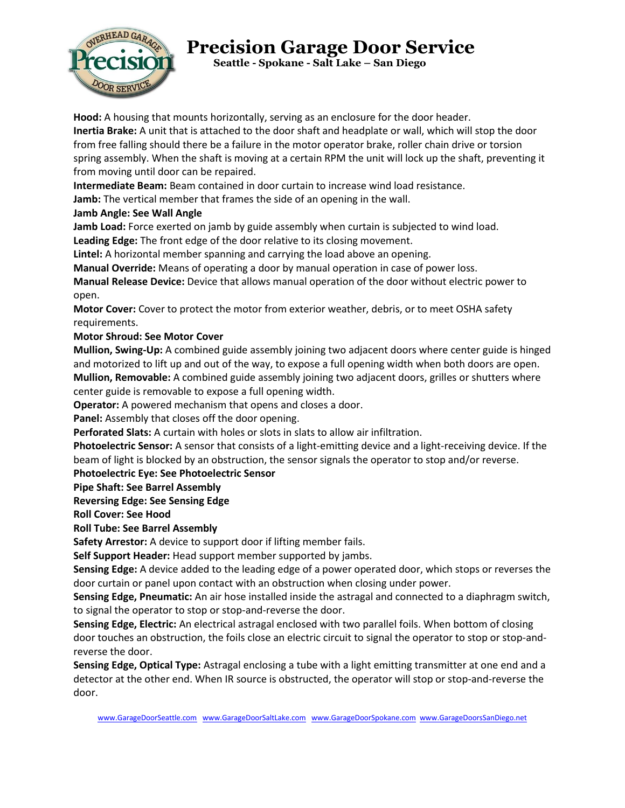

 **Seattle - Spokane - Salt Lake – San Diego**

**Hood:** A housing that mounts horizontally, serving as an enclosure for the door header.

**Inertia Brake:** A unit that is attached to the door shaft and headplate or wall, which will stop the door from free falling should there be a failure in the motor operator brake, roller chain drive or torsion spring assembly. When the shaft is moving at a certain RPM the unit will lock up the shaft, preventing it from moving until door can be repaired.

**Intermediate Beam:** Beam contained in door curtain to increase wind load resistance.

**Jamb:** The vertical member that frames the side of an opening in the wall.

#### **Jamb Angle: See Wall Angle**

**Jamb Load:** Force exerted on jamb by guide assembly when curtain is subjected to wind load.

**Leading Edge:** The front edge of the door relative to its closing movement.

**Lintel:** A horizontal member spanning and carrying the load above an opening.

**Manual Override:** Means of operating a door by manual operation in case of power loss.

**Manual Release Device:** Device that allows manual operation of the door without electric power to open.

**Motor Cover:** Cover to protect the motor from exterior weather, debris, or to meet OSHA safety requirements.

#### **Motor Shroud: See Motor Cover**

**Mullion, Swing-Up:** A combined guide assembly joining two adjacent doors where center guide is hinged and motorized to lift up and out of the way, to expose a full opening width when both doors are open. **Mullion, Removable:** A combined guide assembly joining two adjacent doors, grilles or shutters where

center guide is removable to expose a full opening width.

**Operator:** A powered mechanism that opens and closes a door.

**Panel:** Assembly that closes off the door opening.

**Perforated Slats:** A curtain with holes or slots in slats to allow air infiltration.

**Photoelectric Sensor:** A sensor that consists of a light-emitting device and a light-receiving device. If the beam of light is blocked by an obstruction, the sensor signals the operator to stop and/or reverse.

#### **Photoelectric Eye: See Photoelectric Sensor**

**Pipe Shaft: See Barrel Assembly** 

#### **Reversing Edge: See Sensing Edge**

**Roll Cover: See Hood** 

**Roll Tube: See Barrel Assembly** 

**Safety Arrestor:** A device to support door if lifting member fails.

**Self Support Header:** Head support member supported by jambs.

**Sensing Edge:** A device added to the leading edge of a power operated door, which stops or reverses the door curtain or panel upon contact with an obstruction when closing under power.

**Sensing Edge, Pneumatic:** An air hose installed inside the astragal and connected to a diaphragm switch, to signal the operator to stop or stop-and-reverse the door.

**Sensing Edge, Electric:** An electrical astragal enclosed with two parallel foils. When bottom of closing door touches an obstruction, the foils close an electric circuit to signal the operator to stop or stop-andreverse the door.

**Sensing Edge, Optical Type:** Astragal enclosing a tube with a light emitting transmitter at one end and a detector at the other end. When IR source is obstructed, the operator will stop or stop-and-reverse the door.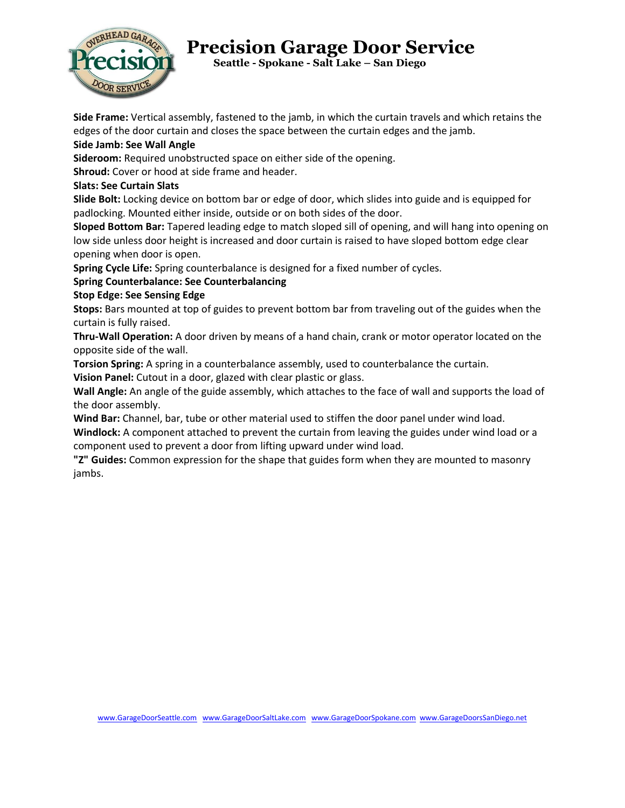

 **Seattle - Spokane - Salt Lake – San Diego**

**Side Frame:** Vertical assembly, fastened to the jamb, in which the curtain travels and which retains the edges of the door curtain and closes the space between the curtain edges and the jamb.

#### **Side Jamb: See Wall Angle**

**Sideroom:** Required unobstructed space on either side of the opening.

**Shroud:** Cover or hood at side frame and header.

#### **Slats: See Curtain Slats**

**Slide Bolt:** Locking device on bottom bar or edge of door, which slides into guide and is equipped for padlocking. Mounted either inside, outside or on both sides of the door.

**Sloped Bottom Bar:** Tapered leading edge to match sloped sill of opening, and will hang into opening on low side unless door height is increased and door curtain is raised to have sloped bottom edge clear opening when door is open.

**Spring Cycle Life:** Spring counterbalance is designed for a fixed number of cycles.

#### **Spring Counterbalance: See Counterbalancing**

#### **Stop Edge: See Sensing Edge**

**Stops:** Bars mounted at top of guides to prevent bottom bar from traveling out of the guides when the curtain is fully raised.

**Thru-Wall Operation:** A door driven by means of a hand chain, crank or motor operator located on the opposite side of the wall.

**Torsion Spring:** A spring in a counterbalance assembly, used to counterbalance the curtain.

**Vision Panel:** Cutout in a door, glazed with clear plastic or glass.

**Wall Angle:** An angle of the guide assembly, which attaches to the face of wall and supports the load of the door assembly.

**Wind Bar:** Channel, bar, tube or other material used to stiffen the door panel under wind load. **Windlock:** A component attached to prevent the curtain from leaving the guides under wind load or a component used to prevent a door from lifting upward under wind load.

**"Z" Guides:** Common expression for the shape that guides form when they are mounted to masonry jambs.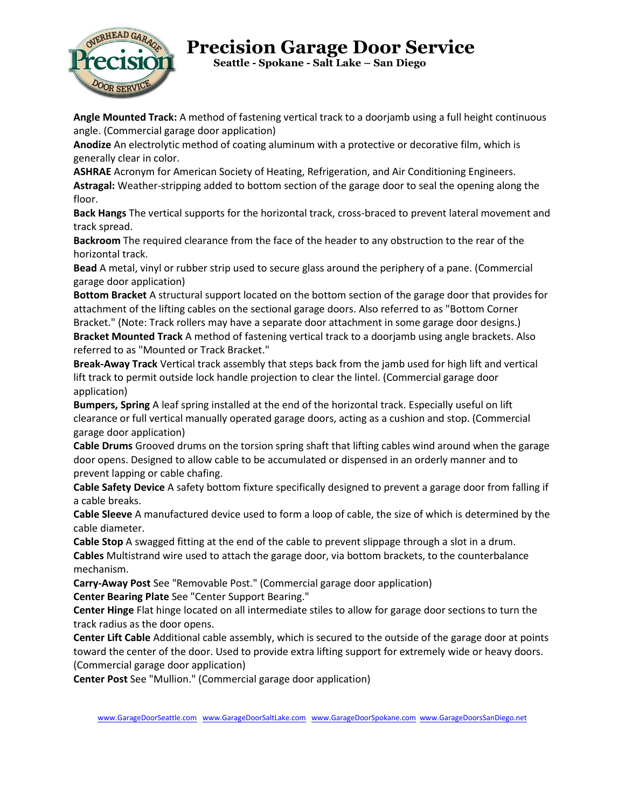

 **Seattle - Spokane - Salt Lake – San Diego**

**Angle Mounted Track:** A method of fastening vertical track to a doorjamb using a full height continuous angle. (Commercial garage door application)

**Anodize** An electrolytic method of coating aluminum with a protective or decorative film, which is generally clear in color.

**ASHRAE** Acronym for American Society of Heating, Refrigeration, and Air Conditioning Engineers. **Astragal:** Weather-stripping added to bottom section of the garage door to seal the opening along the floor.

**Back Hangs** The vertical supports for the horizontal track, cross-braced to prevent lateral movement and track spread.

**Backroom** The required clearance from the face of the header to any obstruction to the rear of the horizontal track.

**Bead** A metal, vinyl or rubber strip used to secure glass around the periphery of a pane. (Commercial garage door application)

**Bottom Bracket** A structural support located on the bottom section of the garage door that provides for attachment of the lifting cables on the sectional garage doors. Also referred to as "Bottom Corner Bracket." (Note: Track rollers may have a separate door attachment in some garage door designs.) **Bracket Mounted Track** A method of fastening vertical track to a doorjamb using angle brackets. Also

referred to as "Mounted or Track Bracket."

**Break-Away Track** Vertical track assembly that steps back from the jamb used for high lift and vertical lift track to permit outside lock handle projection to clear the lintel. (Commercial garage door application)

**Bumpers, Spring** A leaf spring installed at the end of the horizontal track. Especially useful on lift clearance or full vertical manually operated garage doors, acting as a cushion and stop. (Commercial garage door application)

**Cable Drums** Grooved drums on the torsion spring shaft that lifting cables wind around when the garage door opens. Designed to allow cable to be accumulated or dispensed in an orderly manner and to prevent lapping or cable chafing.

**Cable Safety Device** A safety bottom fixture specifically designed to prevent a garage door from falling if a cable breaks.

**Cable Sleeve** A manufactured device used to form a loop of cable, the size of which is determined by the cable diameter.

**Cable Stop** A swagged fitting at the end of the cable to prevent slippage through a slot in a drum. **Cables** Multistrand wire used to attach the garage door, via bottom brackets, to the counterbalance mechanism.

**Carry-Away Post** See "Removable Post." (Commercial garage door application) **Center Bearing Plate** See "Center Support Bearing."

**Center Hinge** Flat hinge located on all intermediate stiles to allow for garage door sections to turn the track radius as the door opens.

**Center Lift Cable** Additional cable assembly, which is secured to the outside of the garage door at points toward the center of the door. Used to provide extra lifting support for extremely wide or heavy doors. (Commercial garage door application)

**Center Post** See "Mullion." (Commercial garage door application)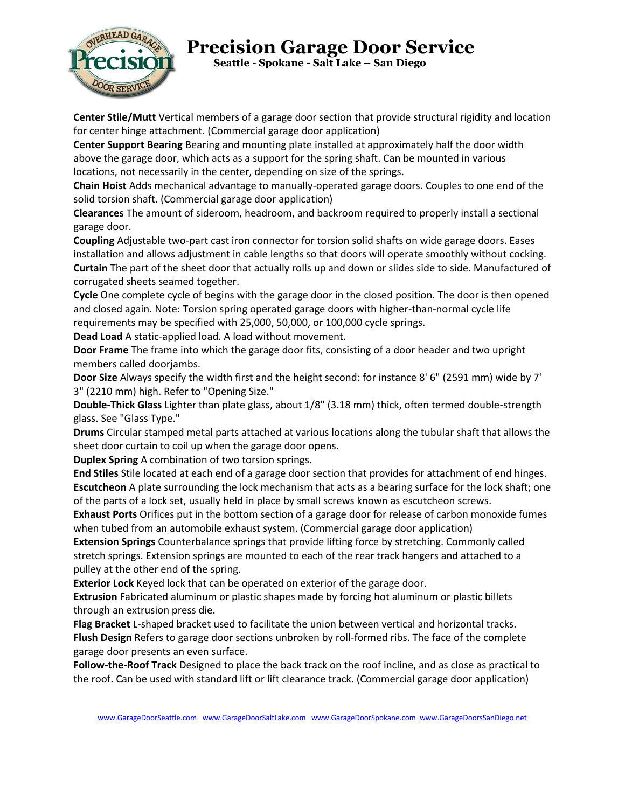

 **Seattle - Spokane - Salt Lake – San Diego**

**Center Stile/Mutt** Vertical members of a garage door section that provide structural rigidity and location for center hinge attachment. (Commercial garage door application)

**Center Support Bearing** Bearing and mounting plate installed at approximately half the door width above the garage door, which acts as a support for the spring shaft. Can be mounted in various locations, not necessarily in the center, depending on size of the springs.

**Chain Hoist** Adds mechanical advantage to manually-operated garage doors. Couples to one end of the solid torsion shaft. (Commercial garage door application)

**Clearances** The amount of sideroom, headroom, and backroom required to properly install a sectional garage door.

**Coupling** Adjustable two-part cast iron connector for torsion solid shafts on wide garage doors. Eases installation and allows adjustment in cable lengths so that doors will operate smoothly without cocking. **Curtain** The part of the sheet door that actually rolls up and down or slides side to side. Manufactured of corrugated sheets seamed together.

**Cycle** One complete cycle of begins with the garage door in the closed position. The door is then opened and closed again. Note: Torsion spring operated garage doors with higher-than-normal cycle life requirements may be specified with 25,000, 50,000, or 100,000 cycle springs.

**Dead Load** A static-applied load. A load without movement.

**Door Frame** The frame into which the garage door fits, consisting of a door header and two upright members called doorjambs.

**Door Size** Always specify the width first and the height second: for instance 8' 6" (2591 mm) wide by 7' 3" (2210 mm) high. Refer to "Opening Size."

**Double-Thick Glass** Lighter than plate glass, about 1/8" (3.18 mm) thick, often termed double-strength glass. See "Glass Type."

**Drums** Circular stamped metal parts attached at various locations along the tubular shaft that allows the sheet door curtain to coil up when the garage door opens.

**Duplex Spring** A combination of two torsion springs.

**End Stiles** Stile located at each end of a garage door section that provides for attachment of end hinges. **Escutcheon** A plate surrounding the lock mechanism that acts as a bearing surface for the lock shaft; one of the parts of a lock set, usually held in place by small screws known as escutcheon screws.

**Exhaust Ports** Orifices put in the bottom section of a garage door for release of carbon monoxide fumes when tubed from an automobile exhaust system. (Commercial garage door application)

**Extension Springs** Counterbalance springs that provide lifting force by stretching. Commonly called stretch springs. Extension springs are mounted to each of the rear track hangers and attached to a pulley at the other end of the spring.

**Exterior Lock** Keyed lock that can be operated on exterior of the garage door.

**Extrusion** Fabricated aluminum or plastic shapes made by forcing hot aluminum or plastic billets through an extrusion press die.

**Flag Bracket** L-shaped bracket used to facilitate the union between vertical and horizontal tracks. **Flush Design** Refers to garage door sections unbroken by roll-formed ribs. The face of the complete garage door presents an even surface.

**Follow-the-Roof Track** Designed to place the back track on the roof incline, and as close as practical to the roof. Can be used with standard lift or lift clearance track. (Commercial garage door application)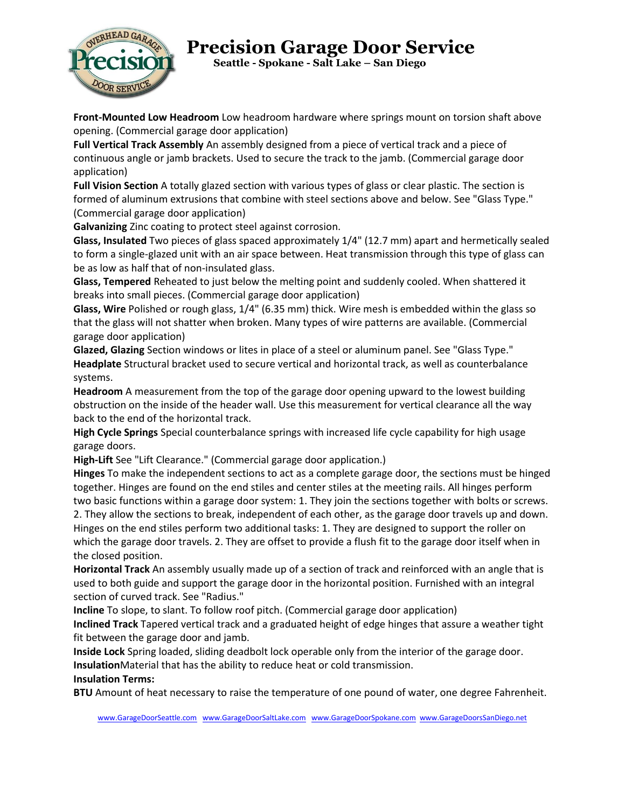

 **Seattle - Spokane - Salt Lake – San Diego**

**Front-Mounted Low Headroom** Low headroom hardware where springs mount on torsion shaft above opening. (Commercial garage door application)

**Full Vertical Track Assembly** An assembly designed from a piece of vertical track and a piece of continuous angle or jamb brackets. Used to secure the track to the jamb. (Commercial garage door application)

**Full Vision Section** A totally glazed section with various types of glass or clear plastic. The section is formed of aluminum extrusions that combine with steel sections above and below. See "Glass Type." (Commercial garage door application)

**Galvanizing** Zinc coating to protect steel against corrosion.

**Glass, Insulated** Two pieces of glass spaced approximately 1/4" (12.7 mm) apart and hermetically sealed to form a single-glazed unit with an air space between. Heat transmission through this type of glass can be as low as half that of non-insulated glass.

**Glass, Tempered** Reheated to just below the melting point and suddenly cooled. When shattered it breaks into small pieces. (Commercial garage door application)

**Glass, Wire** Polished or rough glass, 1/4" (6.35 mm) thick. Wire mesh is embedded within the glass so that the glass will not shatter when broken. Many types of wire patterns are available. (Commercial garage door application)

**Glazed, Glazing** Section windows or lites in place of a steel or aluminum panel. See "Glass Type." **Headplate** Structural bracket used to secure vertical and horizontal track, as well as counterbalance systems.

**Headroom** A measurement from the top of the garage door opening upward to the lowest building obstruction on the inside of the header wall. Use this measurement for vertical clearance all the way back to the end of the horizontal track.

**High Cycle Springs** Special counterbalance springs with increased life cycle capability for high usage garage doors.

**High-Lift** See "Lift Clearance." (Commercial garage door application.)

**Hinges** To make the independent sections to act as a complete garage door, the sections must be hinged together. Hinges are found on the end stiles and center stiles at the meeting rails. All hinges perform two basic functions within a garage door system: 1. They join the sections together with bolts or screws. 2. They allow the sections to break, independent of each other, as the garage door travels up and down. Hinges on the end stiles perform two additional tasks: 1. They are designed to support the roller on which the garage door travels. 2. They are offset to provide a flush fit to the garage door itself when in

the closed position.

**Horizontal Track** An assembly usually made up of a section of track and reinforced with an angle that is used to both guide and support the garage door in the horizontal position. Furnished with an integral section of curved track. See "Radius."

**Incline** To slope, to slant. To follow roof pitch. (Commercial garage door application)

**Inclined Track** Tapered vertical track and a graduated height of edge hinges that assure a weather tight fit between the garage door and jamb.

**Inside Lock** Spring loaded, sliding deadbolt lock operable only from the interior of the garage door. **Insulation**Material that has the ability to reduce heat or cold transmission.

#### **Insulation Terms:**

**BTU** Amount of heat necessary to raise the temperature of one pound of water, one degree Fahrenheit.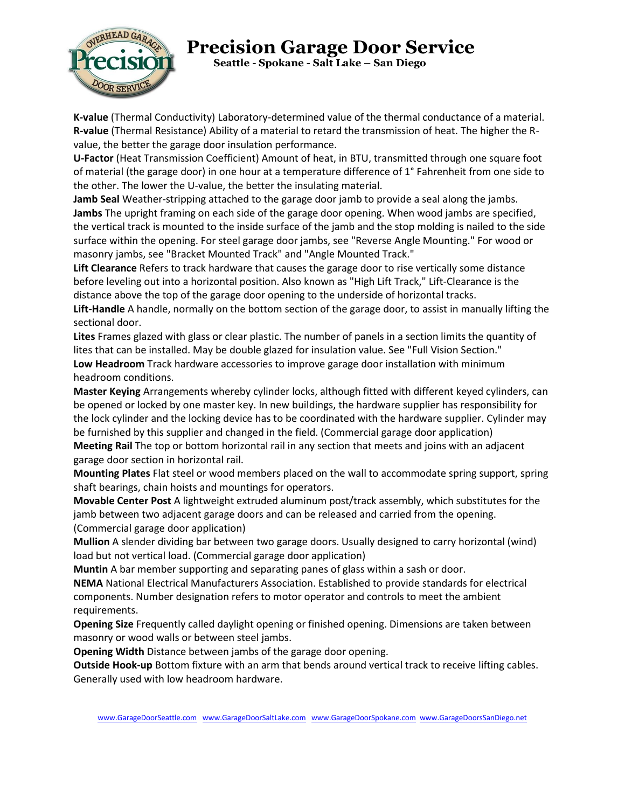

 **Seattle - Spokane - Salt Lake – San Diego**

**K-value** (Thermal Conductivity) Laboratory-determined value of the thermal conductance of a material. **R-value** (Thermal Resistance) Ability of a material to retard the transmission of heat. The higher the Rvalue, the better the garage door insulation performance.

**U-Factor** (Heat Transmission Coefficient) Amount of heat, in BTU, transmitted through one square foot of material (the garage door) in one hour at a temperature difference of 1° Fahrenheit from one side to the other. The lower the U-value, the better the insulating material.

**Jamb Seal** Weather-stripping attached to the garage door jamb to provide a seal along the jambs. **Jambs** The upright framing on each side of the garage door opening. When wood jambs are specified, the vertical track is mounted to the inside surface of the jamb and the stop molding is nailed to the side surface within the opening. For steel garage door jambs, see "Reverse Angle Mounting." For wood or masonry jambs, see "Bracket Mounted Track" and "Angle Mounted Track."

**Lift Clearance** Refers to track hardware that causes the garage door to rise vertically some distance before leveling out into a horizontal position. Also known as "High Lift Track," Lift-Clearance is the distance above the top of the garage door opening to the underside of horizontal tracks.

**Lift-Handle** A handle, normally on the bottom section of the garage door, to assist in manually lifting the sectional door.

**Lites** Frames glazed with glass or clear plastic. The number of panels in a section limits the quantity of lites that can be installed. May be double glazed for insulation value. See "Full Vision Section." **Low Headroom** Track hardware accessories to improve garage door installation with minimum headroom conditions.

**Master Keying** Arrangements whereby cylinder locks, although fitted with different keyed cylinders, can be opened or locked by one master key. In new buildings, the hardware supplier has responsibility for the lock cylinder and the locking device has to be coordinated with the hardware supplier. Cylinder may be furnished by this supplier and changed in the field. (Commercial garage door application)

**Meeting Rail** The top or bottom horizontal rail in any section that meets and joins with an adjacent garage door section in horizontal rail.

**Mounting Plates** Flat steel or wood members placed on the wall to accommodate spring support, spring shaft bearings, chain hoists and mountings for operators.

**Movable Center Post** A lightweight extruded aluminum post/track assembly, which substitutes for the jamb between two adjacent garage doors and can be released and carried from the opening. (Commercial garage door application)

**Mullion** A slender dividing bar between two garage doors. Usually designed to carry horizontal (wind) load but not vertical load. (Commercial garage door application)

**Muntin** A bar member supporting and separating panes of glass within a sash or door.

**NEMA** National Electrical Manufacturers Association. Established to provide standards for electrical components. Number designation refers to motor operator and controls to meet the ambient requirements.

**Opening Size** Frequently called daylight opening or finished opening. Dimensions are taken between masonry or wood walls or between steel jambs.

**Opening Width** Distance between jambs of the garage door opening.

**Outside Hook-up** Bottom fixture with an arm that bends around vertical track to receive lifting cables. Generally used with low headroom hardware.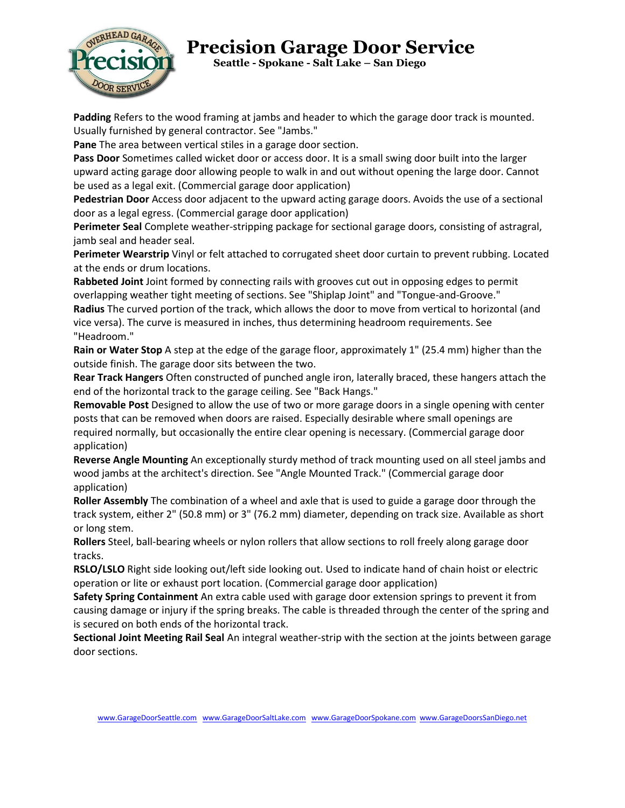

 **Seattle - Spokane - Salt Lake – San Diego**

**Padding** Refers to the wood framing at jambs and header to which the garage door track is mounted. Usually furnished by general contractor. See "Jambs."

**Pane** The area between vertical stiles in a garage door section.

**Pass Door** Sometimes called wicket door or access door. It is a small swing door built into the larger upward acting garage door allowing people to walk in and out without opening the large door. Cannot be used as a legal exit. (Commercial garage door application)

**Pedestrian Door** Access door adjacent to the upward acting garage doors. Avoids the use of a sectional door as a legal egress. (Commercial garage door application)

**Perimeter Seal** Complete weather-stripping package for sectional garage doors, consisting of astragral, jamb seal and header seal.

**Perimeter Wearstrip** Vinyl or felt attached to corrugated sheet door curtain to prevent rubbing. Located at the ends or drum locations.

**Rabbeted Joint** Joint formed by connecting rails with grooves cut out in opposing edges to permit overlapping weather tight meeting of sections. See "Shiplap Joint" and "Tongue-and-Groove."

**Radius** The curved portion of the track, which allows the door to move from vertical to horizontal (and vice versa). The curve is measured in inches, thus determining headroom requirements. See "Headroom."

**Rain or Water Stop** A step at the edge of the garage floor, approximately 1" (25.4 mm) higher than the outside finish. The garage door sits between the two.

**Rear Track Hangers** Often constructed of punched angle iron, laterally braced, these hangers attach the end of the horizontal track to the garage ceiling. See "Back Hangs."

**Removable Post** Designed to allow the use of two or more garage doors in a single opening with center posts that can be removed when doors are raised. Especially desirable where small openings are required normally, but occasionally the entire clear opening is necessary. (Commercial garage door application)

**Reverse Angle Mounting** An exceptionally sturdy method of track mounting used on all steel jambs and wood jambs at the architect's direction. See "Angle Mounted Track." (Commercial garage door application)

**Roller Assembly** The combination of a wheel and axle that is used to guide a garage door through the track system, either 2" (50.8 mm) or 3" (76.2 mm) diameter, depending on track size. Available as short or long stem.

**Rollers** Steel, ball-bearing wheels or nylon rollers that allow sections to roll freely along garage door tracks.

**RSLO/LSLO** Right side looking out/left side looking out. Used to indicate hand of chain hoist or electric operation or lite or exhaust port location. (Commercial garage door application)

**Safety Spring Containment** An extra cable used with garage door extension springs to prevent it from causing damage or injury if the spring breaks. The cable is threaded through the center of the spring and is secured on both ends of the horizontal track.

**Sectional Joint Meeting Rail Seal** An integral weather-strip with the section at the joints between garage door sections.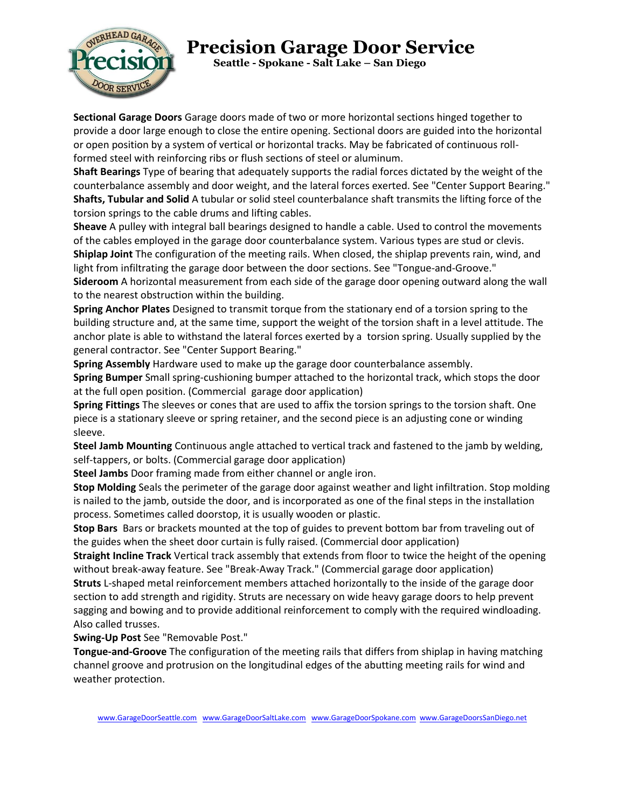

 **Seattle - Spokane - Salt Lake – San Diego**

**Sectional Garage Doors** Garage doors made of two or more horizontal sections hinged together to provide a door large enough to close the entire opening. Sectional doors are guided into the horizontal or open position by a system of vertical or horizontal tracks. May be fabricated of continuous rollformed steel with reinforcing ribs or flush sections of steel or aluminum.

**Shaft Bearings** Type of bearing that adequately supports the radial forces dictated by the weight of the counterbalance assembly and door weight, and the lateral forces exerted. See "Center Support Bearing." **Shafts, Tubular and Solid** A tubular or solid steel counterbalance shaft transmits the lifting force of the torsion springs to the cable drums and lifting cables.

**Sheave** A pulley with integral ball bearings designed to handle a cable. Used to control the movements of the cables employed in the garage door counterbalance system. Various types are stud or clevis. **Shiplap Joint** The configuration of the meeting rails. When closed, the shiplap prevents rain, wind, and light from infiltrating the garage door between the door sections. See "Tongue-and-Groove."

**Sideroom** A horizontal measurement from each side of the garage door opening outward along the wall to the nearest obstruction within the building.

**Spring Anchor Plates** Designed to transmit torque from the stationary end of a torsion spring to the building structure and, at the same time, support the weight of the torsion shaft in a level attitude. The anchor plate is able to withstand the lateral forces exerted by a torsion spring. Usually supplied by the general contractor. See "Center Support Bearing."

**Spring Assembly** Hardware used to make up the garage door counterbalance assembly.

**Spring Bumper** Small spring-cushioning bumper attached to the horizontal track, which stops the door at the full open position. (Commercial garage door application)

**Spring Fittings** The sleeves or cones that are used to affix the torsion springs to the torsion shaft. One piece is a stationary sleeve or spring retainer, and the second piece is an adjusting cone or winding sleeve.

**Steel Jamb Mounting** Continuous angle attached to vertical track and fastened to the jamb by welding, self-tappers, or bolts. (Commercial garage door application)

**Steel Jambs** Door framing made from either channel or angle iron.

**Stop Molding** Seals the perimeter of the garage door against weather and light infiltration. Stop molding is nailed to the jamb, outside the door, and is incorporated as one of the final steps in the installation process. Sometimes called doorstop, it is usually wooden or plastic.

**Stop Bars** Bars or brackets mounted at the top of guides to prevent bottom bar from traveling out of the guides when the sheet door curtain is fully raised. (Commercial door application)

**Straight Incline Track** Vertical track assembly that extends from floor to twice the height of the opening without break-away feature. See "Break-Away Track." (Commercial garage door application)

**Struts** L-shaped metal reinforcement members attached horizontally to the inside of the garage door section to add strength and rigidity. Struts are necessary on wide heavy garage doors to help prevent sagging and bowing and to provide additional reinforcement to comply with the required windloading. Also called trusses.

**Swing-Up Post** See "Removable Post."

**Tongue-and-Groove** The configuration of the meeting rails that differs from shiplap in having matching channel groove and protrusion on the longitudinal edges of the abutting meeting rails for wind and weather protection.